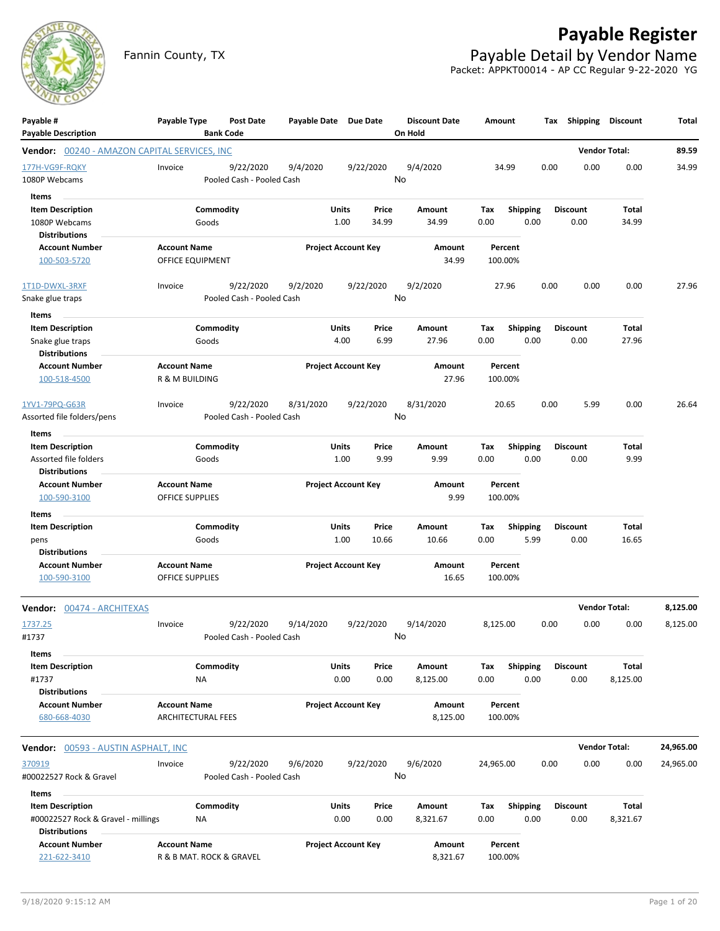

## **Payable Register**

Fannin County, TX **Payable Detail by Vendor Name** Packet: APPKT00014 - AP CC Regular 9-22-2020 YG

| Payable #<br><b>Payable Description</b>                                               | Payable Type                                     | <b>Bank Code</b>   | Post Date                              | Payable Date Due Date |               |                            |                | <b>Discount Date</b><br>On Hold | Amount      |                    |                         |      | Tax Shipping            | Discount                 | Total     |
|---------------------------------------------------------------------------------------|--------------------------------------------------|--------------------|----------------------------------------|-----------------------|---------------|----------------------------|----------------|---------------------------------|-------------|--------------------|-------------------------|------|-------------------------|--------------------------|-----------|
| <b>Vendor:</b> 00240 - AMAZON CAPITAL SERVICES, INC                                   |                                                  |                    |                                        |                       |               |                            |                |                                 |             |                    |                         |      |                         | <b>Vendor Total:</b>     | 89.59     |
| 177H-VG9F-RQKY<br>1080P Webcams                                                       | Invoice                                          |                    | 9/22/2020<br>Pooled Cash - Pooled Cash | 9/4/2020              |               | 9/22/2020                  | No             | 9/4/2020                        |             | 34.99              |                         | 0.00 | 0.00                    | 0.00                     | 34.99     |
| Items                                                                                 |                                                  |                    |                                        |                       |               |                            |                |                                 |             |                    |                         |      |                         |                          |           |
| <b>Item Description</b><br>1080P Webcams<br><b>Distributions</b>                      |                                                  | Commodity<br>Goods |                                        |                       | Units<br>1.00 |                            | Price<br>34.99 | Amount<br>34.99                 | Tax<br>0.00 |                    | <b>Shipping</b><br>0.00 |      | <b>Discount</b><br>0.00 | <b>Total</b><br>34.99    |           |
| <b>Account Number</b><br>100-503-5720                                                 | <b>Account Name</b><br>OFFICE EQUIPMENT          |                    |                                        |                       |               | <b>Project Account Key</b> |                | Amount<br>34.99                 |             | Percent<br>100.00% |                         |      |                         |                          |           |
| 1T1D-DWXL-3RXF<br>Snake glue traps                                                    | Invoice                                          |                    | 9/22/2020<br>Pooled Cash - Pooled Cash | 9/2/2020              |               | 9/22/2020                  | No             | 9/2/2020                        |             | 27.96              |                         | 0.00 | 0.00                    | 0.00                     | 27.96     |
| Items                                                                                 |                                                  |                    |                                        |                       |               |                            |                |                                 |             |                    |                         |      |                         |                          |           |
| <b>Item Description</b><br>Snake glue traps<br><b>Distributions</b>                   |                                                  | Commodity<br>Goods |                                        |                       | Units<br>4.00 |                            | Price<br>6.99  | Amount<br>27.96                 | Tax<br>0.00 |                    | <b>Shipping</b><br>0.00 |      | <b>Discount</b><br>0.00 | <b>Total</b><br>27.96    |           |
| <b>Account Number</b><br>100-518-4500                                                 | <b>Account Name</b><br>R & M BUILDING            |                    |                                        |                       |               | <b>Project Account Key</b> |                | Amount<br>27.96                 |             | Percent<br>100.00% |                         |      |                         |                          |           |
| 1YV1-79PQ-G63R<br>Assorted file folders/pens                                          | Invoice                                          |                    | 9/22/2020<br>Pooled Cash - Pooled Cash | 8/31/2020             |               | 9/22/2020                  | No             | 8/31/2020                       |             | 20.65              |                         | 0.00 | 5.99                    | 0.00                     | 26.64     |
| Items                                                                                 |                                                  |                    |                                        |                       |               |                            |                |                                 |             |                    |                         |      |                         |                          |           |
| <b>Item Description</b><br>Assorted file folders<br><b>Distributions</b>              |                                                  | Commodity<br>Goods |                                        |                       | Units<br>1.00 |                            | Price<br>9.99  | Amount<br>9.99                  | Tax<br>0.00 |                    | Shipping<br>0.00        |      | <b>Discount</b><br>0.00 | Total<br>9.99            |           |
| <b>Account Number</b><br>100-590-3100                                                 | <b>Account Name</b><br><b>OFFICE SUPPLIES</b>    |                    |                                        |                       |               | <b>Project Account Key</b> |                | Amount<br>9.99                  |             | Percent<br>100.00% |                         |      |                         |                          |           |
| Items                                                                                 |                                                  |                    |                                        |                       |               |                            |                |                                 |             |                    |                         |      |                         |                          |           |
| <b>Item Description</b><br>pens<br><b>Distributions</b>                               |                                                  | Commodity<br>Goods |                                        |                       | Units<br>1.00 |                            | Price<br>10.66 | Amount<br>10.66                 | Tax<br>0.00 |                    | <b>Shipping</b><br>5.99 |      | <b>Discount</b><br>0.00 | <b>Total</b><br>16.65    |           |
| <b>Account Number</b><br>100-590-3100                                                 | <b>Account Name</b><br>OFFICE SUPPLIES           |                    |                                        |                       |               | <b>Project Account Key</b> |                | Amount<br>16.65                 |             | Percent<br>100.00% |                         |      |                         |                          |           |
| Vendor: 00474 - ARCHITEXAS                                                            |                                                  |                    |                                        |                       |               |                            |                |                                 |             |                    |                         |      |                         | <b>Vendor Total:</b>     | 8,125.00  |
| 1737.25<br>#1737                                                                      | Invoice                                          |                    | 9/22/2020<br>Pooled Cash - Pooled Cash | 9/14/2020             |               | 9/22/2020                  | No             | 9/14/2020                       | 8,125.00    |                    |                         | 0.00 | 0.00                    | 0.00                     | 8,125.00  |
| Items<br><b>Item Description</b><br>#1737                                             |                                                  | Commodity<br>NA    |                                        |                       | Units<br>0.00 |                            | Price<br>0.00  | Amount<br>8,125.00              | Tax<br>0.00 |                    | <b>Shipping</b><br>0.00 |      | <b>Discount</b><br>0.00 | <b>Total</b><br>8,125.00 |           |
| <b>Distributions</b><br><b>Account Number</b><br>680-668-4030                         | <b>Account Name</b><br><b>ARCHITECTURAL FEES</b> |                    |                                        |                       |               | <b>Project Account Key</b> |                | Amount<br>8,125.00              |             | Percent<br>100.00% |                         |      |                         |                          |           |
| <b>Vendor:</b> 00593 - AUSTIN ASPHALT, INC                                            |                                                  |                    |                                        |                       |               |                            |                |                                 |             |                    |                         |      |                         | <b>Vendor Total:</b>     | 24,965.00 |
| 370919<br>#00022527 Rock & Gravel                                                     | Invoice                                          |                    | 9/22/2020<br>Pooled Cash - Pooled Cash | 9/6/2020              |               | 9/22/2020                  | No             | 9/6/2020                        | 24,965.00   |                    |                         | 0.00 | 0.00                    | 0.00                     | 24,965.00 |
| Items                                                                                 |                                                  |                    |                                        |                       |               |                            |                |                                 |             |                    |                         |      |                         |                          |           |
| <b>Item Description</b><br>#00022527 Rock & Gravel - millings<br><b>Distributions</b> |                                                  | Commodity<br>ΝA    |                                        |                       | Units<br>0.00 |                            | Price<br>0.00  | Amount<br>8,321.67              | Tax<br>0.00 |                    | Shipping<br>0.00        |      | <b>Discount</b><br>0.00 | <b>Total</b><br>8,321.67 |           |
| <b>Account Number</b><br>221-622-3410                                                 | <b>Account Name</b><br>R & B MAT. ROCK & GRAVEL  |                    |                                        |                       |               | <b>Project Account Key</b> |                | Amount<br>8,321.67              |             | Percent<br>100.00% |                         |      |                         |                          |           |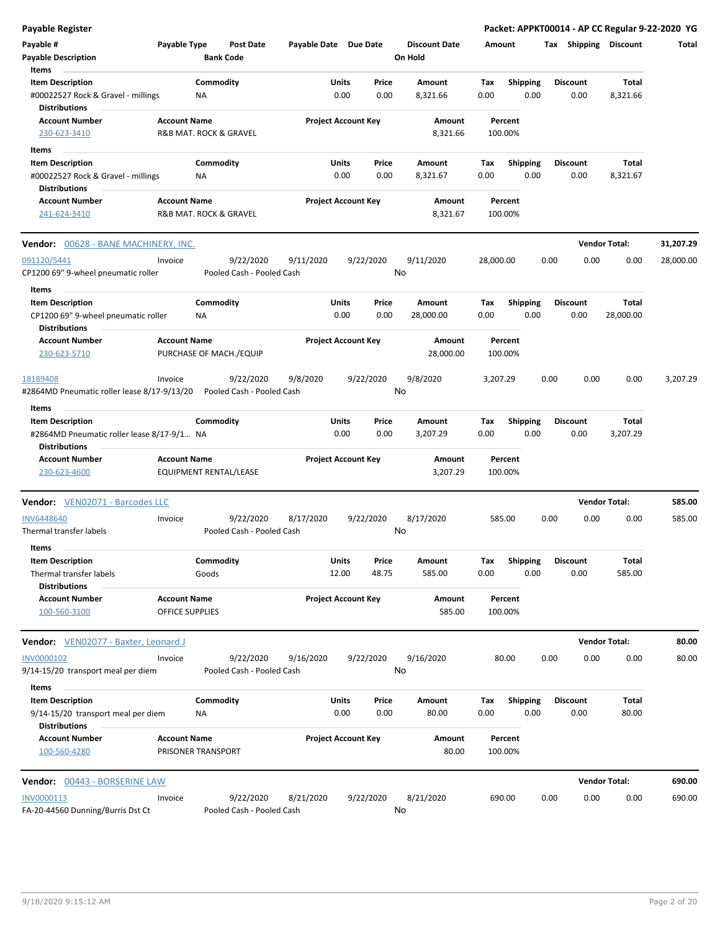| <b>Payable Register</b>                                                                       |                                        |                           |                  |                       |                            |                 |                      |             |                         |      |                         |                      | Packet: APPKT00014 - AP CC Regular 9-22-2020 YG |
|-----------------------------------------------------------------------------------------------|----------------------------------------|---------------------------|------------------|-----------------------|----------------------------|-----------------|----------------------|-------------|-------------------------|------|-------------------------|----------------------|-------------------------------------------------|
| Payable #                                                                                     | Payable Type                           |                           | <b>Post Date</b> | Payable Date Due Date |                            |                 | <b>Discount Date</b> | Amount      |                         |      | Tax Shipping Discount   |                      | Total                                           |
| <b>Payable Description</b>                                                                    |                                        | <b>Bank Code</b>          |                  |                       |                            |                 | On Hold              |             |                         |      |                         |                      |                                                 |
| Items                                                                                         |                                        |                           |                  |                       |                            |                 |                      |             |                         |      |                         |                      |                                                 |
| <b>Item Description</b>                                                                       |                                        | Commodity                 |                  |                       | Units                      | Price           | Amount               | Tax         | <b>Shipping</b>         |      | <b>Discount</b>         | Total                |                                                 |
| #00022527 Rock & Gravel - millings<br><b>Distributions</b>                                    |                                        | ΝA                        |                  |                       | 0.00                       | 0.00            | 8,321.66             | 0.00        | 0.00                    |      | 0.00                    | 8,321.66             |                                                 |
| <b>Account Number</b><br>230-623-3410                                                         | <b>Account Name</b>                    | R&B MAT. ROCK & GRAVEL    |                  |                       | <b>Project Account Key</b> |                 | Amount<br>8,321.66   | 100.00%     | Percent                 |      |                         |                      |                                                 |
| Items                                                                                         |                                        |                           |                  |                       |                            |                 |                      |             |                         |      |                         |                      |                                                 |
| <b>Item Description</b>                                                                       |                                        | Commodity                 |                  |                       | Units                      | Price           | Amount               | Тах         | <b>Shipping</b>         |      | <b>Discount</b>         | Total                |                                                 |
| #00022527 Rock & Gravel - millings<br><b>Distributions</b>                                    |                                        | NA                        |                  |                       | 0.00                       | 0.00            | 8,321.67             | 0.00        | 0.00                    |      | 0.00                    | 8,321.67             |                                                 |
| <b>Account Number</b>                                                                         | <b>Account Name</b>                    |                           |                  |                       | <b>Project Account Key</b> |                 | Amount               |             | Percent                 |      |                         |                      |                                                 |
| 241-624-3410                                                                                  |                                        | R&B MAT. ROCK & GRAVEL    |                  |                       |                            |                 | 8,321.67             | 100.00%     |                         |      |                         |                      |                                                 |
| <b>Vendor: 00628 - BANE MACHINERY, INC.</b>                                                   |                                        |                           |                  |                       |                            |                 |                      |             |                         |      |                         | <b>Vendor Total:</b> | 31,207.29                                       |
| 091120/5441                                                                                   | Invoice                                |                           | 9/22/2020        | 9/11/2020             |                            | 9/22/2020       | 9/11/2020            | 28,000.00   |                         | 0.00 | 0.00                    | 0.00                 | 28,000.00                                       |
| CP1200 69" 9-wheel pneumatic roller<br>Items                                                  |                                        | Pooled Cash - Pooled Cash |                  |                       |                            | No              |                      |             |                         |      |                         |                      |                                                 |
| <b>Item Description</b>                                                                       |                                        | Commodity                 |                  |                       | Units                      | Price           | Amount               | Тах         | <b>Shipping</b>         |      | <b>Discount</b>         | Total                |                                                 |
| CP1200 69" 9-wheel pneumatic roller<br><b>Distributions</b>                                   |                                        | ΝA                        |                  |                       | 0.00                       | 0.00            | 28,000.00            | 0.00        | 0.00                    |      | 0.00                    | 28,000.00            |                                                 |
| <b>Account Number</b>                                                                         | <b>Account Name</b>                    |                           |                  |                       | <b>Project Account Key</b> |                 | Amount               |             | Percent                 |      |                         |                      |                                                 |
| 230-623-5710                                                                                  |                                        | PURCHASE OF MACH./EQUIP   |                  |                       |                            |                 | 28,000.00            | 100.00%     |                         |      |                         |                      |                                                 |
| 18189408<br>#2864MD Pneumatic roller lease 8/17-9/13/20                                       | Invoice                                | Pooled Cash - Pooled Cash | 9/22/2020        | 9/8/2020              |                            | 9/22/2020<br>No | 9/8/2020             | 3,207.29    |                         | 0.00 | 0.00                    | 0.00                 | 3,207.29                                        |
|                                                                                               |                                        |                           |                  |                       |                            |                 |                      |             |                         |      |                         |                      |                                                 |
| Items                                                                                         |                                        |                           |                  |                       |                            |                 |                      |             |                         |      |                         |                      |                                                 |
| <b>Item Description</b><br>#2864MD Pneumatic roller lease 8/17-9/1 NA<br><b>Distributions</b> |                                        | Commodity                 |                  |                       | Units<br>0.00              | Price<br>0.00   | Amount<br>3,207.29   | Tax<br>0.00 | <b>Shipping</b><br>0.00 |      | <b>Discount</b><br>0.00 | Total<br>3,207.29    |                                                 |
| <b>Account Number</b><br>230-623-4600                                                         | <b>Account Name</b>                    | EQUIPMENT RENTAL/LEASE    |                  |                       | <b>Project Account Key</b> |                 | Amount<br>3,207.29   | 100.00%     | Percent                 |      |                         |                      |                                                 |
|                                                                                               |                                        |                           |                  |                       |                            |                 |                      |             |                         |      |                         |                      |                                                 |
| <b>Vendor:</b> VEN02071 - Barcodes LLC                                                        |                                        |                           |                  |                       |                            |                 |                      |             |                         |      |                         | <b>Vendor Total:</b> | 585.00                                          |
| <b>INV6448640</b><br>Thermal transfer labels                                                  | Invoice                                | Pooled Cash - Pooled Cash | 9/22/2020        | 8/17/2020             |                            | 9/22/2020<br>No | 8/17/2020            | 585.00      |                         | 0.00 | 0.00                    | 0.00                 | 585.00                                          |
| Items                                                                                         |                                        |                           |                  |                       |                            |                 |                      |             |                         |      |                         |                      |                                                 |
| <b>Item Description</b><br>Thermal transfer labels                                            |                                        | Commodity<br>Goods        |                  |                       | Units<br>12.00             | Price<br>48.75  | Amount<br>585.00     | Tax<br>0.00 | Shipping<br>0.00        |      | <b>Discount</b><br>0.00 | Total<br>585.00      |                                                 |
| <b>Distributions</b><br><b>Account Number</b><br>100-560-3100                                 | <b>Account Name</b><br>OFFICE SUPPLIES |                           |                  |                       | <b>Project Account Key</b> |                 | Amount<br>585.00     | 100.00%     | Percent                 |      |                         |                      |                                                 |
|                                                                                               |                                        |                           |                  |                       |                            |                 |                      |             |                         |      |                         |                      |                                                 |
| Vendor: VEN02077 - Baxter, Leonard J                                                          |                                        |                           |                  |                       |                            |                 |                      |             |                         |      |                         | <b>Vendor Total:</b> | 80.00                                           |
| INV0000102<br>9/14-15/20 transport meal per diem                                              | Invoice                                | Pooled Cash - Pooled Cash | 9/22/2020        | 9/16/2020             |                            | 9/22/2020<br>No | 9/16/2020            |             | 80.00                   | 0.00 | 0.00                    | 0.00                 | 80.00                                           |
| Items                                                                                         |                                        |                           |                  |                       |                            |                 |                      |             |                         |      |                         |                      |                                                 |
| <b>Item Description</b>                                                                       |                                        | Commodity                 |                  |                       | Units                      | Price           | Amount               | Tax         | Shipping                |      | <b>Discount</b>         | Total                |                                                 |
| 9/14-15/20 transport meal per diem<br><b>Distributions</b>                                    |                                        | NA                        |                  |                       | 0.00                       | 0.00            | 80.00                | 0.00        | 0.00                    |      | 0.00                    | 80.00                |                                                 |
| <b>Account Number</b><br>100-560-4280                                                         | <b>Account Name</b>                    | PRISONER TRANSPORT        |                  |                       | <b>Project Account Key</b> |                 | Amount<br>80.00      | 100.00%     | Percent                 |      |                         |                      |                                                 |
| Vendor: 00443 - BORSERINE LAW                                                                 |                                        |                           |                  |                       |                            |                 |                      |             |                         |      |                         | <b>Vendor Total:</b> | 690.00                                          |
| INV0000113<br>FA-20-44560 Dunning/Burris Dst Ct                                               | Invoice                                | Pooled Cash - Pooled Cash | 9/22/2020        | 8/21/2020             |                            | 9/22/2020<br>No | 8/21/2020            | 690.00      |                         | 0.00 | 0.00                    | 0.00                 | 690.00                                          |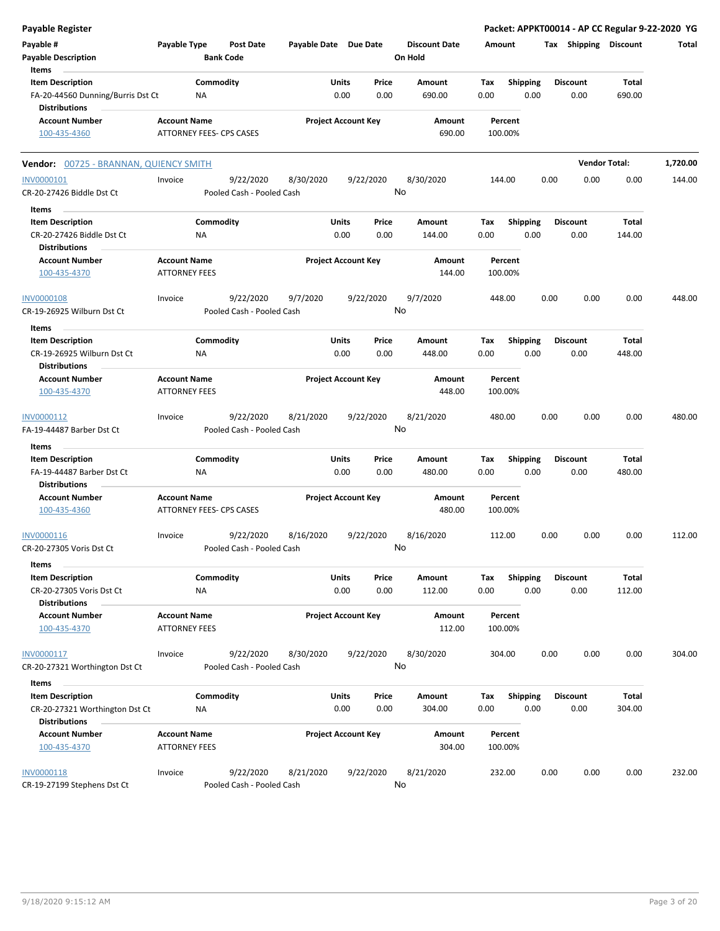| <b>Payable Register</b>                                                              |                                             |                                        |                       |               |                            |                                 |             |                         |      |                         | Packet: APPKT00014 - AP CC Regular 9-22-2020 YG |          |
|--------------------------------------------------------------------------------------|---------------------------------------------|----------------------------------------|-----------------------|---------------|----------------------------|---------------------------------|-------------|-------------------------|------|-------------------------|-------------------------------------------------|----------|
| Payable #<br><b>Payable Description</b>                                              | Payable Type                                | <b>Post Date</b><br><b>Bank Code</b>   | Payable Date Due Date |               |                            | <b>Discount Date</b><br>On Hold | Amount      |                         |      | Tax Shipping Discount   |                                                 | Total    |
| Items                                                                                |                                             |                                        |                       |               |                            |                                 |             |                         |      |                         |                                                 |          |
| <b>Item Description</b><br>FA-20-44560 Dunning/Burris Dst Ct<br><b>Distributions</b> |                                             | Commodity<br>NA                        |                       | Units<br>0.00 | Price<br>0.00              | Amount<br>690.00                | Tax<br>0.00 | <b>Shipping</b><br>0.00 |      | <b>Discount</b><br>0.00 | Total<br>690.00                                 |          |
| <b>Account Number</b><br>100-435-4360                                                | <b>Account Name</b>                         | ATTORNEY FEES- CPS CASES               |                       |               | <b>Project Account Key</b> | Amount<br>690.00                |             | Percent<br>100.00%      |      |                         |                                                 |          |
| Vendor: 00725 - BRANNAN, QUIENCY SMITH                                               |                                             |                                        |                       |               |                            |                                 |             |                         |      |                         | <b>Vendor Total:</b>                            | 1,720.00 |
| INV0000101<br>CR-20-27426 Biddle Dst Ct                                              | Invoice                                     | 9/22/2020<br>Pooled Cash - Pooled Cash | 8/30/2020             |               | 9/22/2020                  | 8/30/2020<br>No                 |             | 144.00                  | 0.00 | 0.00                    | 0.00                                            | 144.00   |
| Items                                                                                |                                             |                                        |                       |               |                            |                                 |             |                         |      |                         |                                                 |          |
| <b>Item Description</b><br>CR-20-27426 Biddle Dst Ct<br><b>Distributions</b>         |                                             | Commodity<br><b>NA</b>                 |                       | Units<br>0.00 | Price<br>0.00              | Amount<br>144.00                | Tax<br>0.00 | Shipping<br>0.00        |      | <b>Discount</b><br>0.00 | Total<br>144.00                                 |          |
| <b>Account Number</b><br>100-435-4370                                                | <b>Account Name</b><br>ATTORNEY FEES        |                                        |                       |               | <b>Project Account Key</b> | Amount<br>144.00                |             | Percent<br>100.00%      |      |                         |                                                 |          |
| <b>INV0000108</b><br>CR-19-26925 Wilburn Dst Ct                                      | Invoice                                     | 9/22/2020<br>Pooled Cash - Pooled Cash | 9/7/2020              |               | 9/22/2020                  | 9/7/2020<br>No                  |             | 448.00                  | 0.00 | 0.00                    | 0.00                                            | 448.00   |
| Items                                                                                |                                             |                                        |                       |               |                            |                                 |             |                         |      |                         |                                                 |          |
| <b>Item Description</b><br>CR-19-26925 Wilburn Dst Ct                                |                                             | Commodity<br>ΝA                        |                       | Units<br>0.00 | Price<br>0.00              | Amount<br>448.00                | Tax<br>0.00 | Shipping<br>0.00        |      | <b>Discount</b><br>0.00 | <b>Total</b><br>448.00                          |          |
| <b>Distributions</b>                                                                 |                                             |                                        |                       |               |                            |                                 |             |                         |      |                         |                                                 |          |
| <b>Account Number</b><br>100-435-4370                                                | <b>Account Name</b><br><b>ATTORNEY FEES</b> |                                        |                       |               | <b>Project Account Key</b> | Amount<br>448.00                |             | Percent<br>100.00%      |      |                         |                                                 |          |
| INV0000112<br>FA-19-44487 Barber Dst Ct                                              | Invoice                                     | 9/22/2020<br>Pooled Cash - Pooled Cash | 8/21/2020             |               | 9/22/2020                  | 8/21/2020<br>No                 |             | 480.00                  | 0.00 | 0.00                    | 0.00                                            | 480.00   |
| Items                                                                                |                                             |                                        |                       |               |                            |                                 |             |                         |      |                         |                                                 |          |
| <b>Item Description</b><br>FA-19-44487 Barber Dst Ct<br><b>Distributions</b>         |                                             | Commodity<br><b>NA</b>                 |                       | Units<br>0.00 | Price<br>0.00              | Amount<br>480.00                | Tax<br>0.00 | Shipping<br>0.00        |      | <b>Discount</b><br>0.00 | Total<br>480.00                                 |          |
| <b>Account Number</b><br>100-435-4360                                                | <b>Account Name</b>                         | ATTORNEY FEES- CPS CASES               |                       |               | <b>Project Account Key</b> | Amount<br>480.00                |             | Percent<br>100.00%      |      |                         |                                                 |          |
| INV0000116<br>CR-20-27305 Voris Dst Ct                                               | Invoice                                     | 9/22/2020<br>Pooled Cash - Pooled Cash | 8/16/2020             |               | 9/22/2020                  | 8/16/2020<br>No                 |             | 112.00                  | 0.00 | 0.00                    | 0.00                                            | 112.00   |
| Items                                                                                |                                             |                                        |                       |               |                            |                                 |             |                         |      |                         |                                                 |          |
| <b>Item Description</b><br>CR-20-27305 Voris Dst Ct<br><b>Distributions</b>          |                                             | Commodity<br><b>NA</b>                 |                       | Units<br>0.00 | Price<br>0.00              | Amount<br>112.00                | Tax<br>0.00 | <b>Shipping</b><br>0.00 |      | <b>Discount</b><br>0.00 | Total<br>112.00                                 |          |
| <b>Account Number</b><br>100-435-4370                                                | <b>Account Name</b><br><b>ATTORNEY FEES</b> |                                        |                       |               | <b>Project Account Key</b> | Amount<br>112.00                |             | Percent<br>100.00%      |      |                         |                                                 |          |
| INV0000117<br>CR-20-27321 Worthington Dst Ct                                         | Invoice                                     | 9/22/2020<br>Pooled Cash - Pooled Cash | 8/30/2020             |               | 9/22/2020                  | 8/30/2020<br>No                 |             | 304.00                  | 0.00 | 0.00                    | 0.00                                            | 304.00   |
| Items                                                                                |                                             |                                        |                       |               |                            |                                 |             |                         |      |                         |                                                 |          |
| <b>Item Description</b><br>CR-20-27321 Worthington Dst Ct<br><b>Distributions</b>    |                                             | Commodity<br><b>NA</b>                 |                       | Units<br>0.00 | Price<br>0.00              | Amount<br>304.00                | Tax<br>0.00 | <b>Shipping</b><br>0.00 |      | <b>Discount</b><br>0.00 | <b>Total</b><br>304.00                          |          |
| <b>Account Number</b><br>100-435-4370                                                | <b>Account Name</b><br><b>ATTORNEY FEES</b> |                                        |                       |               | <b>Project Account Key</b> | Amount<br>304.00                |             | Percent<br>100.00%      |      |                         |                                                 |          |
| INV0000118<br>CR-19-27199 Stephens Dst Ct                                            | Invoice                                     | 9/22/2020<br>Pooled Cash - Pooled Cash | 8/21/2020             |               | 9/22/2020                  | 8/21/2020<br>No                 |             | 232.00                  | 0.00 | 0.00                    | 0.00                                            | 232.00   |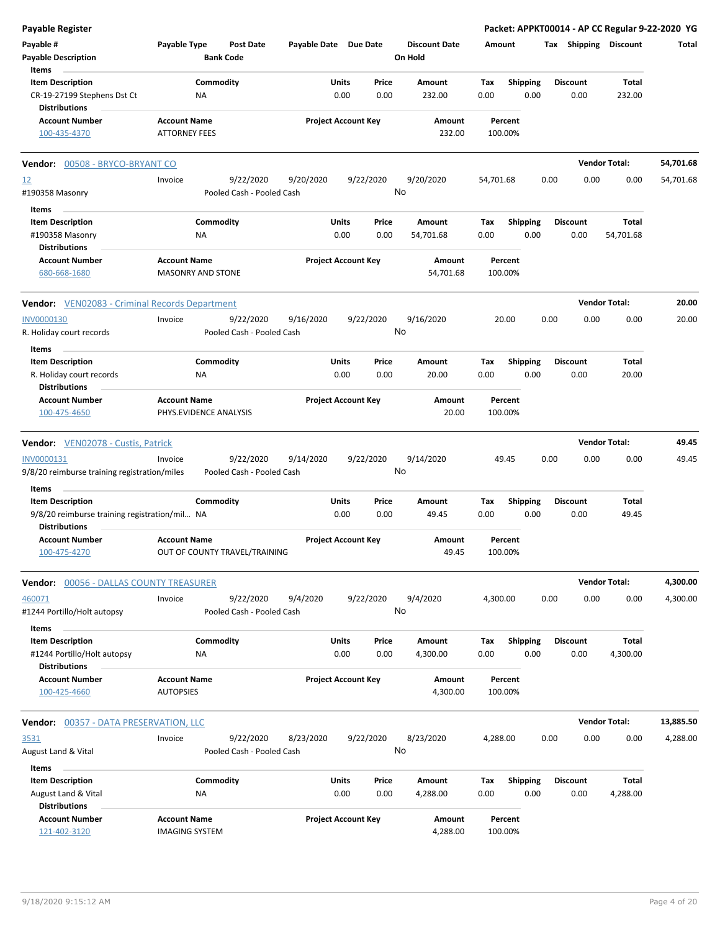| <b>Payable Register</b>                                                        |                                                      |                            |                 |                                 |                                        | Packet: APPKT00014 - AP CC Regular 9-22-2020 YG |                      |           |
|--------------------------------------------------------------------------------|------------------------------------------------------|----------------------------|-----------------|---------------------------------|----------------------------------------|-------------------------------------------------|----------------------|-----------|
| Payable #<br><b>Payable Description</b>                                        | Payable Type<br><b>Post Date</b><br><b>Bank Code</b> | Payable Date Due Date      |                 | <b>Discount Date</b><br>On Hold | Amount                                 | Tax Shipping Discount                           |                      | Total     |
| Items                                                                          |                                                      |                            |                 |                                 |                                        |                                                 |                      |           |
| <b>Item Description</b><br>CR-19-27199 Stephens Dst Ct<br><b>Distributions</b> | Commodity<br>NA                                      | Units<br>0.00              | Price<br>0.00   | Amount<br>232.00                | <b>Shipping</b><br>Tax<br>0.00<br>0.00 | <b>Discount</b><br>0.00                         | Total<br>232.00      |           |
| <b>Account Number</b>                                                          | <b>Account Name</b>                                  | <b>Project Account Key</b> |                 | Amount                          | Percent                                |                                                 |                      |           |
| 100-435-4370                                                                   | <b>ATTORNEY FEES</b>                                 |                            |                 | 232.00                          | 100.00%                                |                                                 |                      |           |
| Vendor: 00508 - BRYCO-BRYANT CO                                                |                                                      |                            |                 |                                 |                                        |                                                 | <b>Vendor Total:</b> | 54,701.68 |
| <u>12</u><br>#190358 Masonry                                                   | 9/22/2020<br>Invoice<br>Pooled Cash - Pooled Cash    | 9/20/2020                  | 9/22/2020<br>No | 9/20/2020                       | 54,701.68                              | 0.00<br>0.00                                    | 0.00                 | 54,701.68 |
| Items                                                                          |                                                      |                            |                 |                                 |                                        |                                                 |                      |           |
| <b>Item Description</b>                                                        | Commodity                                            | Units                      | Price           | Amount                          | <b>Shipping</b><br>Тах                 | <b>Discount</b>                                 | Total                |           |
| #190358 Masonry                                                                | <b>NA</b>                                            | 0.00                       | 0.00            | 54,701.68                       | 0.00<br>0.00                           | 0.00                                            | 54,701.68            |           |
| <b>Distributions</b>                                                           |                                                      |                            |                 |                                 |                                        |                                                 |                      |           |
| <b>Account Number</b><br>680-668-1680                                          | <b>Account Name</b><br>MASONRY AND STONE             | <b>Project Account Key</b> |                 | Amount<br>54,701.68             | Percent<br>100.00%                     |                                                 |                      |           |
| <b>Vendor:</b> VEN02083 - Criminal Records Department                          |                                                      |                            |                 |                                 |                                        |                                                 | <b>Vendor Total:</b> | 20.00     |
| <b>INV0000130</b>                                                              | 9/22/2020<br>Invoice                                 | 9/16/2020                  | 9/22/2020       | 9/16/2020                       | 20.00                                  | 0.00<br>0.00                                    | 0.00                 | 20.00     |
| R. Holiday court records                                                       | Pooled Cash - Pooled Cash                            |                            | No              |                                 |                                        |                                                 |                      |           |
| Items<br><b>Item Description</b>                                               | Commodity                                            | <b>Units</b>               | Price           | Amount                          | <b>Shipping</b><br>Tax                 | <b>Discount</b>                                 | Total                |           |
| R. Holiday court records<br><b>Distributions</b>                               | ΝA                                                   | 0.00                       | 0.00            | 20.00                           | 0.00<br>0.00                           | 0.00                                            | 20.00                |           |
| <b>Account Number</b>                                                          | <b>Account Name</b>                                  | <b>Project Account Key</b> |                 | Amount                          | Percent                                |                                                 |                      |           |
| 100-475-4650                                                                   | PHYS.EVIDENCE ANALYSIS                               |                            |                 | 20.00                           | 100.00%                                |                                                 |                      |           |
| <b>Vendor:</b> VEN02078 - Custis, Patrick                                      |                                                      |                            |                 |                                 |                                        |                                                 | <b>Vendor Total:</b> | 49.45     |
| INV0000131                                                                     | 9/22/2020<br>Invoice                                 | 9/14/2020                  | 9/22/2020       | 9/14/2020                       | 49.45                                  | 0.00<br>0.00                                    | 0.00                 | 49.45     |
| 9/8/20 reimburse training registration/miles                                   | Pooled Cash - Pooled Cash                            |                            | No              |                                 |                                        |                                                 |                      |           |
| Items                                                                          |                                                      |                            |                 |                                 |                                        |                                                 |                      |           |
| <b>Item Description</b>                                                        | Commodity                                            | <b>Units</b>               | Price           | Amount                          | Shipping<br>Tax                        | <b>Discount</b>                                 | Total                |           |
| 9/8/20 reimburse training registration/mil NA<br><b>Distributions</b>          |                                                      | 0.00                       | 0.00            | 49.45                           | 0.00<br>0.00                           | 0.00                                            | 49.45                |           |
| <b>Account Number</b><br>100-475-4270                                          | <b>Account Name</b><br>OUT OF COUNTY TRAVEL/TRAINING | <b>Project Account Key</b> |                 | Amount<br>49.45                 | Percent<br>100.00%                     |                                                 |                      |           |
| Vendor: 00056 - DALLAS COUNTY TREASURER                                        |                                                      |                            |                 |                                 |                                        |                                                 | <b>Vendor Total:</b> | 4,300.00  |
| 460071                                                                         | 9/22/2020<br>Invoice                                 | 9/4/2020                   | 9/22/2020       | 9/4/2020                        | 4,300.00                               | 0.00<br>0.00                                    | 0.00                 | 4,300.00  |
| #1244 Portillo/Holt autopsy<br>Items                                           | Pooled Cash - Pooled Cash                            |                            | No              |                                 |                                        |                                                 |                      |           |
| <b>Item Description</b>                                                        | Commodity                                            | <b>Units</b>               | Price           | Amount                          | <b>Shipping</b><br>Tax                 | <b>Discount</b>                                 | Total                |           |
| #1244 Portillo/Holt autopsy<br><b>Distributions</b>                            | ΝA                                                   | 0.00                       | 0.00            | 4,300.00                        | 0.00<br>0.00                           | 0.00                                            | 4,300.00             |           |
| <b>Account Number</b><br>100-425-4660                                          | <b>Account Name</b><br><b>AUTOPSIES</b>              | <b>Project Account Key</b> |                 | Amount<br>4,300.00              | Percent<br>100.00%                     |                                                 |                      |           |
|                                                                                |                                                      |                            |                 |                                 |                                        |                                                 |                      |           |
| <b>Vendor: 00357 - DATA PRESERVATION, LLC</b>                                  |                                                      |                            |                 |                                 |                                        |                                                 | <b>Vendor Total:</b> | 13,885.50 |
| 3531<br>August Land & Vital                                                    | 9/22/2020<br>Invoice<br>Pooled Cash - Pooled Cash    | 8/23/2020                  | 9/22/2020<br>No | 8/23/2020                       | 4,288.00                               | 0.00<br>0.00                                    | 0.00                 | 4,288.00  |
| Items                                                                          |                                                      |                            |                 |                                 |                                        |                                                 |                      |           |
| <b>Item Description</b>                                                        | Commodity                                            | <b>Units</b>               | Price           | Amount                          | <b>Shipping</b><br>Tax                 | <b>Discount</b>                                 | Total                |           |
| August Land & Vital<br><b>Distributions</b>                                    | <b>NA</b>                                            | 0.00                       | 0.00            | 4,288.00                        | 0.00<br>0.00                           | 0.00                                            | 4,288.00             |           |
| <b>Account Number</b><br>121-402-3120                                          | <b>Account Name</b><br><b>IMAGING SYSTEM</b>         | <b>Project Account Key</b> |                 | Amount<br>4,288.00              | Percent<br>100.00%                     |                                                 |                      |           |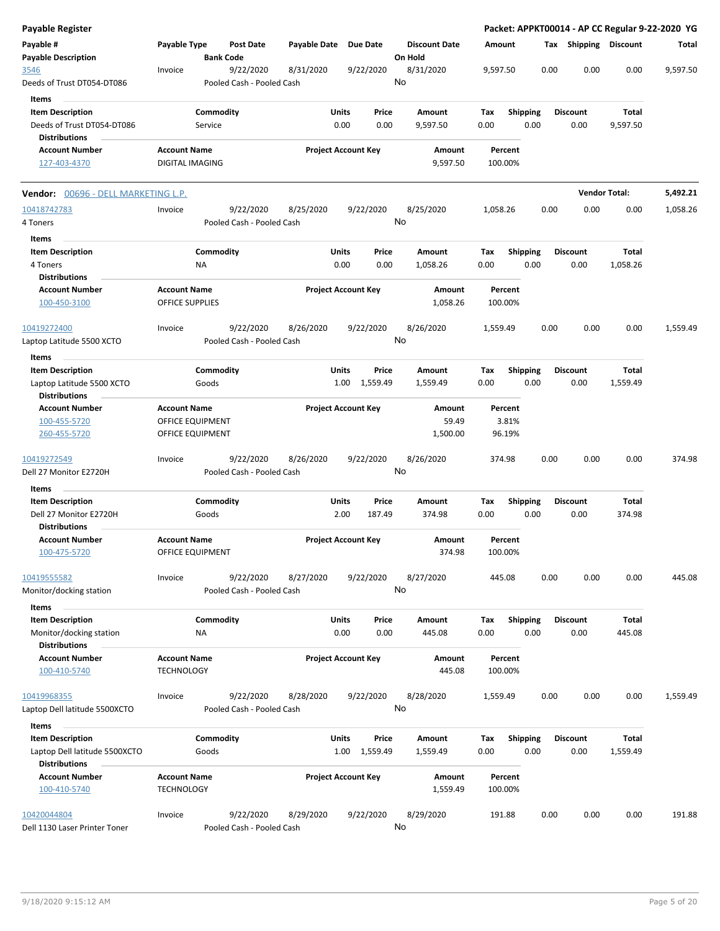| <b>Payable Register</b>                               |                     |                  |                                        |                       |                            |               |         |                      |          |         |                 |      |                 |                       | Packet: APPKT00014 - AP CC Regular 9-22-2020 YG |
|-------------------------------------------------------|---------------------|------------------|----------------------------------------|-----------------------|----------------------------|---------------|---------|----------------------|----------|---------|-----------------|------|-----------------|-----------------------|-------------------------------------------------|
| Payable #<br><b>Payable Description</b>               | Payable Type        | <b>Bank Code</b> | Post Date                              | Payable Date Due Date |                            |               | On Hold | <b>Discount Date</b> | Amount   |         |                 |      |                 | Tax Shipping Discount | Total                                           |
| 3546<br>Deeds of Trust DT054-DT086                    | Invoice             |                  | 9/22/2020<br>Pooled Cash - Pooled Cash | 8/31/2020             |                            | 9/22/2020     | No      | 8/31/2020            | 9,597.50 |         |                 | 0.00 | 0.00            | 0.00                  | 9,597.50                                        |
| Items                                                 |                     |                  |                                        |                       |                            |               |         |                      |          |         |                 |      |                 |                       |                                                 |
| <b>Item Description</b>                               |                     | Commodity        |                                        |                       | Units                      | Price         |         | Amount               | Tax      |         | <b>Shipping</b> |      | <b>Discount</b> | Total                 |                                                 |
| Deeds of Trust DT054-DT086                            |                     | Service          |                                        |                       | 0.00                       | 0.00          |         | 9,597.50             | 0.00     |         | 0.00            |      | 0.00            | 9,597.50              |                                                 |
| <b>Distributions</b>                                  |                     |                  |                                        |                       |                            |               |         |                      |          |         |                 |      |                 |                       |                                                 |
| <b>Account Number</b>                                 | <b>Account Name</b> |                  |                                        |                       | <b>Project Account Key</b> |               |         | Amount               |          | Percent |                 |      |                 |                       |                                                 |
| 127-403-4370                                          | DIGITAL IMAGING     |                  |                                        |                       |                            |               |         | 9,597.50             |          | 100.00% |                 |      |                 |                       |                                                 |
| Vendor: 00696 - DELL MARKETING L.P.                   |                     |                  |                                        |                       |                            |               |         |                      |          |         |                 |      |                 | <b>Vendor Total:</b>  | 5,492.21                                        |
| 10418742783                                           | Invoice             |                  | 9/22/2020                              | 8/25/2020             |                            | 9/22/2020     |         | 8/25/2020            | 1,058.26 |         |                 | 0.00 | 0.00            | 0.00                  | 1,058.26                                        |
| 4 Toners                                              |                     |                  | Pooled Cash - Pooled Cash              |                       |                            |               | No      |                      |          |         |                 |      |                 |                       |                                                 |
| Items                                                 |                     |                  |                                        |                       |                            |               |         |                      |          |         |                 |      |                 |                       |                                                 |
| <b>Item Description</b>                               |                     | Commodity        |                                        |                       | Units                      | Price         |         | Amount               | Tax      |         | Shipping        |      | <b>Discount</b> | Total                 |                                                 |
| 4 Toners                                              |                     | ΝA               |                                        |                       | 0.00                       | 0.00          |         | 1,058.26             | 0.00     |         | 0.00            |      | 0.00            | 1,058.26              |                                                 |
| <b>Distributions</b>                                  |                     |                  |                                        |                       |                            |               |         |                      |          |         |                 |      |                 |                       |                                                 |
| <b>Account Number</b>                                 | <b>Account Name</b> |                  |                                        |                       | <b>Project Account Key</b> |               |         | Amount               |          | Percent |                 |      |                 |                       |                                                 |
| 100-450-3100                                          | OFFICE SUPPLIES     |                  |                                        |                       |                            |               |         | 1,058.26             |          | 100.00% |                 |      |                 |                       |                                                 |
| 10419272400<br>Laptop Latitude 5500 XCTO              | Invoice             |                  | 9/22/2020<br>Pooled Cash - Pooled Cash | 8/26/2020             |                            | 9/22/2020     | No      | 8/26/2020            | 1,559.49 |         |                 | 0.00 | 0.00            | 0.00                  | 1,559.49                                        |
| Items                                                 |                     |                  |                                        |                       |                            |               |         |                      |          |         |                 |      |                 |                       |                                                 |
| <b>Item Description</b>                               |                     | Commodity        |                                        |                       | Units                      | Price         |         | Amount               | Tax      |         | Shipping        |      | <b>Discount</b> | Total                 |                                                 |
| Laptop Latitude 5500 XCTO                             |                     | Goods            |                                        |                       |                            | 1.00 1,559.49 |         | 1,559.49             | 0.00     |         | 0.00            |      | 0.00            | 1,559.49              |                                                 |
| <b>Distributions</b>                                  |                     |                  |                                        |                       |                            |               |         |                      |          |         |                 |      |                 |                       |                                                 |
| <b>Account Number</b>                                 | <b>Account Name</b> |                  |                                        |                       | <b>Project Account Key</b> |               |         | Amount               |          | Percent |                 |      |                 |                       |                                                 |
| 100-455-5720                                          | OFFICE EQUIPMENT    |                  |                                        |                       |                            |               |         | 59.49                |          | 3.81%   |                 |      |                 |                       |                                                 |
| 260-455-5720                                          | OFFICE EQUIPMENT    |                  |                                        |                       |                            |               |         | 1,500.00             |          | 96.19%  |                 |      |                 |                       |                                                 |
| 10419272549<br>Dell 27 Monitor E2720H                 | Invoice             |                  | 9/22/2020<br>Pooled Cash - Pooled Cash | 8/26/2020             |                            | 9/22/2020     | No      | 8/26/2020            |          | 374.98  |                 | 0.00 | 0.00            | 0.00                  | 374.98                                          |
|                                                       |                     |                  |                                        |                       |                            |               |         |                      |          |         |                 |      |                 |                       |                                                 |
| Items                                                 |                     |                  |                                        |                       |                            |               |         |                      |          |         |                 |      |                 |                       |                                                 |
| <b>Item Description</b>                               |                     | Commodity        |                                        |                       | Units                      | Price         |         | Amount               | Tax      |         | <b>Shipping</b> |      | Discount        | Total                 |                                                 |
| Dell 27 Monitor E2720H<br><b>Distributions</b>        |                     | Goods            |                                        |                       | 2.00                       | 187.49        |         | 374.98               | 0.00     |         | 0.00            |      | 0.00            | 374.98                |                                                 |
| <b>Account Number</b>                                 | <b>Account Name</b> |                  |                                        |                       | <b>Project Account Key</b> |               |         | Amount               |          | Percent |                 |      |                 |                       |                                                 |
| 100-475-5720                                          | OFFICE EQUIPMENT    |                  |                                        |                       |                            |               |         | 374.98               |          | 100.00% |                 |      |                 |                       |                                                 |
| 10419555582<br>Monitor/docking station                | Invoice             |                  | 9/22/2020<br>Pooled Cash - Pooled Cash | 8/27/2020             |                            | 9/22/2020     | No      | 8/27/2020            |          | 445.08  |                 | 0.00 | 0.00            | 0.00                  | 445.08                                          |
| Items                                                 |                     |                  |                                        |                       |                            |               |         |                      |          |         |                 |      |                 |                       |                                                 |
| <b>Item Description</b>                               |                     | Commodity        |                                        |                       | Units                      | Price         |         | Amount               | Tax      |         | <b>Shipping</b> |      | <b>Discount</b> | Total                 |                                                 |
| Monitor/docking station                               |                     | ΝA               |                                        |                       | 0.00                       | 0.00          |         | 445.08               | 0.00     |         | 0.00            |      | 0.00            | 445.08                |                                                 |
| <b>Distributions</b>                                  |                     |                  |                                        |                       |                            |               |         |                      |          |         |                 |      |                 |                       |                                                 |
| <b>Account Number</b>                                 | <b>Account Name</b> |                  |                                        |                       | <b>Project Account Key</b> |               |         | Amount               |          | Percent |                 |      |                 |                       |                                                 |
| 100-410-5740                                          | <b>TECHNOLOGY</b>   |                  |                                        |                       |                            |               |         | 445.08               |          | 100.00% |                 |      |                 |                       |                                                 |
| 10419968355                                           | Invoice             |                  | 9/22/2020                              | 8/28/2020             |                            | 9/22/2020     |         | 8/28/2020            | 1,559.49 |         |                 | 0.00 | 0.00            | 0.00                  | 1,559.49                                        |
| Laptop Dell latitude 5500XCTO                         |                     |                  | Pooled Cash - Pooled Cash              |                       |                            |               | No      |                      |          |         |                 |      |                 |                       |                                                 |
|                                                       |                     |                  |                                        |                       |                            |               |         |                      |          |         |                 |      |                 |                       |                                                 |
| Items                                                 |                     |                  |                                        |                       |                            |               |         |                      |          |         |                 |      |                 |                       |                                                 |
| <b>Item Description</b>                               |                     | Commodity        |                                        |                       | Units                      | Price         |         | Amount               | Tax      |         | <b>Shipping</b> |      | Discount        | Total                 |                                                 |
| Laptop Dell latitude 5500XCTO<br><b>Distributions</b> |                     | Goods            |                                        |                       | 1.00                       | 1,559.49      |         | 1,559.49             | 0.00     |         | 0.00            |      | 0.00            | 1,559.49              |                                                 |
| <b>Account Number</b>                                 | <b>Account Name</b> |                  |                                        |                       | <b>Project Account Key</b> |               |         | Amount               |          | Percent |                 |      |                 |                       |                                                 |
| 100-410-5740                                          | <b>TECHNOLOGY</b>   |                  |                                        |                       |                            |               |         | 1,559.49             |          | 100.00% |                 |      |                 |                       |                                                 |
| 10420044804                                           | Invoice             |                  | 9/22/2020                              | 8/29/2020             |                            | 9/22/2020     |         | 8/29/2020            |          | 191.88  |                 | 0.00 | 0.00            | 0.00                  | 191.88                                          |
| Dell 1130 Laser Printer Toner                         |                     |                  | Pooled Cash - Pooled Cash              |                       |                            |               | No      |                      |          |         |                 |      |                 |                       |                                                 |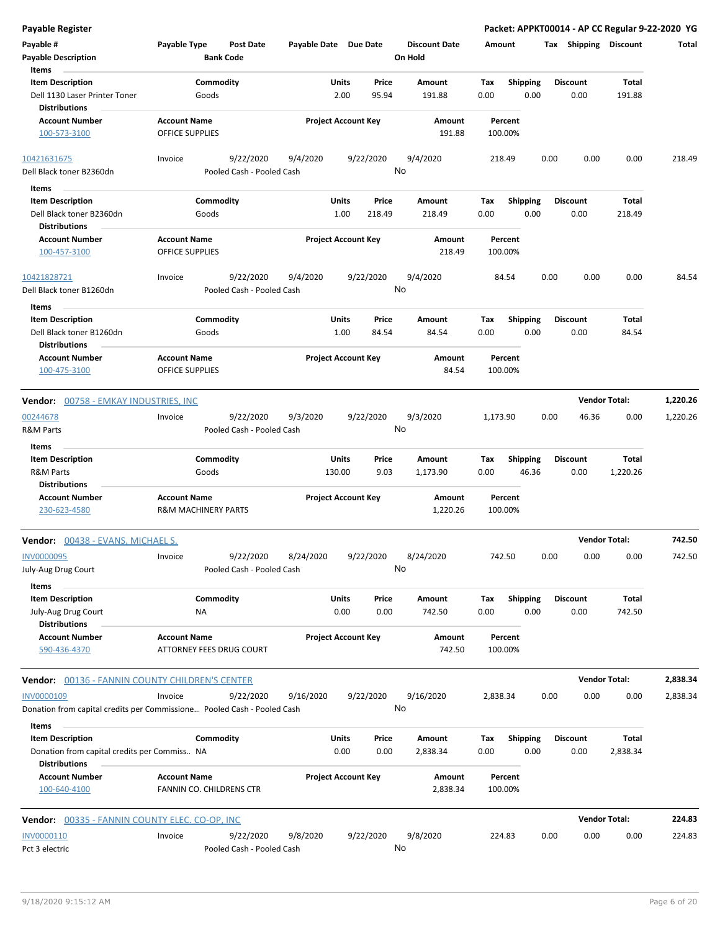| <b>Payable Register</b>                                                                                  |                                                       |                                        |                            |                        |                 |                                 |             |                          |      |                         | Packet: APPKT00014 - AP CC Regular 9-22-2020 YG |          |
|----------------------------------------------------------------------------------------------------------|-------------------------------------------------------|----------------------------------------|----------------------------|------------------------|-----------------|---------------------------------|-------------|--------------------------|------|-------------------------|-------------------------------------------------|----------|
| Payable #<br><b>Payable Description</b><br>Items                                                         | Payable Type                                          | <b>Post Date</b><br><b>Bank Code</b>   | Payable Date Due Date      |                        |                 | <b>Discount Date</b><br>On Hold | Amount      |                          |      | Tax Shipping Discount   |                                                 | Total    |
| <b>Item Description</b><br>Dell 1130 Laser Printer Toner                                                 | Commodity<br>Goods                                    |                                        |                            | Units<br>2.00          | Price<br>95.94  | Amount<br>191.88                | Tax<br>0.00 | <b>Shipping</b><br>0.00  |      | <b>Discount</b><br>0.00 | Total<br>191.88                                 |          |
| <b>Distributions</b><br><b>Account Number</b><br>100-573-3100                                            | <b>Account Name</b><br><b>OFFICE SUPPLIES</b>         |                                        | <b>Project Account Key</b> |                        |                 | Amount<br>191.88                |             | Percent<br>100.00%       |      |                         |                                                 |          |
| 10421631675<br>Dell Black toner B2360dn                                                                  | Invoice                                               | 9/22/2020<br>Pooled Cash - Pooled Cash | 9/4/2020                   |                        | 9/22/2020       | 9/4/2020<br>No                  |             | 218.49                   | 0.00 | 0.00                    | 0.00                                            | 218.49   |
| Items<br><b>Item Description</b><br>Dell Black toner B2360dn<br><b>Distributions</b>                     | Commodity<br>Goods                                    |                                        |                            | Units<br>1.00          | Price<br>218.49 | Amount<br>218.49                | Tax<br>0.00 | <b>Shipping</b><br>0.00  |      | <b>Discount</b><br>0.00 | Total<br>218.49                                 |          |
| <b>Account Number</b><br>100-457-3100                                                                    | <b>Account Name</b><br><b>OFFICE SUPPLIES</b>         |                                        | <b>Project Account Key</b> |                        |                 | Amount<br>218.49                |             | Percent<br>100.00%       |      |                         |                                                 |          |
| 10421828721<br>Dell Black toner B1260dn                                                                  | Invoice                                               | 9/22/2020<br>Pooled Cash - Pooled Cash | 9/4/2020                   |                        | 9/22/2020       | 9/4/2020<br>No                  |             | 84.54                    | 0.00 | 0.00                    | 0.00                                            | 84.54    |
| Items<br><b>Item Description</b><br>Dell Black toner B1260dn<br><b>Distributions</b>                     | Commodity<br>Goods                                    |                                        |                            | Units<br>1.00          | Price<br>84.54  | Amount<br>84.54                 | Tax<br>0.00 | <b>Shipping</b><br>0.00  |      | <b>Discount</b><br>0.00 | Total<br>84.54                                  |          |
| <b>Account Number</b><br>100-475-3100                                                                    | <b>Account Name</b><br><b>OFFICE SUPPLIES</b>         |                                        | <b>Project Account Key</b> |                        |                 | Amount<br>84.54                 |             | Percent<br>100.00%       |      |                         |                                                 |          |
| Vendor: 00758 - EMKAY INDUSTRIES, INC                                                                    |                                                       |                                        |                            |                        |                 |                                 |             |                          |      |                         | <b>Vendor Total:</b>                            | 1,220.26 |
| 00244678<br><b>R&amp;M Parts</b>                                                                         | Invoice                                               | 9/22/2020<br>Pooled Cash - Pooled Cash | 9/3/2020                   |                        | 9/22/2020       | 9/3/2020<br>No                  | 1,173.90    |                          | 0.00 | 46.36                   | 0.00                                            | 1,220.26 |
| Items<br><b>Item Description</b><br><b>R&amp;M Parts</b><br><b>Distributions</b>                         | Commodity<br>Goods                                    |                                        |                            | <b>Units</b><br>130.00 | Price<br>9.03   | Amount<br>1,173.90              | Тах<br>0.00 | <b>Shipping</b><br>46.36 |      | <b>Discount</b><br>0.00 | Total<br>1,220.26                               |          |
| <b>Account Number</b><br>230-623-4580                                                                    | <b>Account Name</b><br><b>R&amp;M MACHINERY PARTS</b> |                                        | <b>Project Account Key</b> |                        |                 | Amount<br>1,220.26              |             | Percent<br>100.00%       |      |                         |                                                 |          |
| Vendor: 00438 - EVANS, MICHAEL S.                                                                        |                                                       |                                        |                            |                        |                 |                                 |             |                          |      |                         | <b>Vendor Total:</b>                            | 742.50   |
| INV0000095<br>July-Aug Drug Court                                                                        | Invoice                                               | 9/22/2020<br>Pooled Cash - Pooled Cash | 8/24/2020                  |                        | 9/22/2020       | 8/24/2020<br>No                 |             | 742.50                   | 0.00 | 0.00                    | 0.00                                            | 742.50   |
| Items<br><b>Item Description</b><br>July-Aug Drug Court<br><b>Distributions</b>                          | Commodity<br>ΝA                                       |                                        |                            | Units<br>0.00          | Price<br>0.00   | Amount<br>742.50                | Tax<br>0.00 | <b>Shipping</b><br>0.00  |      | <b>Discount</b><br>0.00 | Total<br>742.50                                 |          |
| <b>Account Number</b><br>590-436-4370                                                                    | <b>Account Name</b><br>ATTORNEY FEES DRUG COURT       |                                        | <b>Project Account Key</b> |                        |                 | Amount<br>742.50                |             | Percent<br>100.00%       |      |                         |                                                 |          |
| <b>Vendor:</b> 00136 - FANNIN COUNTY CHILDREN'S CENTER                                                   |                                                       |                                        |                            |                        |                 |                                 |             |                          |      |                         | <b>Vendor Total:</b>                            | 2,838.34 |
| INV0000109<br>Donation from capital credits per Commissione Pooled Cash - Pooled Cash                    | Invoice                                               | 9/22/2020                              | 9/16/2020                  |                        | 9/22/2020       | 9/16/2020<br>No                 | 2,838.34    |                          | 0.00 | 0.00                    | 0.00                                            | 2,838.34 |
| Items<br><b>Item Description</b><br>Donation from capital credits per Commiss NA<br><b>Distributions</b> | Commodity                                             |                                        |                            | <b>Units</b><br>0.00   | Price<br>0.00   | Amount<br>2,838.34              | Tax<br>0.00 | <b>Shipping</b><br>0.00  |      | <b>Discount</b><br>0.00 | Total<br>2,838.34                               |          |
| <b>Account Number</b><br>100-640-4100                                                                    | <b>Account Name</b><br>FANNIN CO. CHILDRENS CTR       |                                        | <b>Project Account Key</b> |                        |                 | Amount<br>2,838.34              |             | Percent<br>100.00%       |      |                         |                                                 |          |
| <b>Vendor:</b> 00335 - FANNIN COUNTY ELEC. CO-OP, INC                                                    |                                                       |                                        |                            |                        |                 |                                 |             |                          |      |                         | <b>Vendor Total:</b>                            | 224.83   |
| INV0000110<br>Pct 3 electric                                                                             | Invoice                                               | 9/22/2020<br>Pooled Cash - Pooled Cash | 9/8/2020                   |                        | 9/22/2020       | 9/8/2020<br>No                  |             | 224.83                   | 0.00 | 0.00                    | 0.00                                            | 224.83   |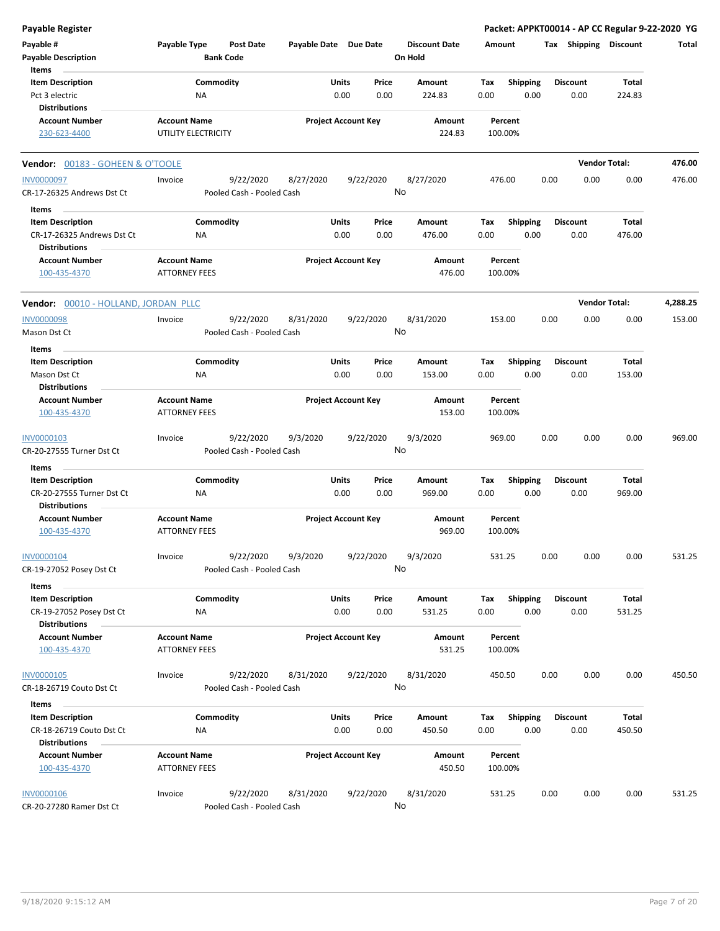| Payable Register                                   |                                             |                                        |                       |                                |                                 |                                |      |                         | Packet: APPKT00014 - AP CC Regular 9-22-2020 YG |          |
|----------------------------------------------------|---------------------------------------------|----------------------------------------|-----------------------|--------------------------------|---------------------------------|--------------------------------|------|-------------------------|-------------------------------------------------|----------|
| Payable #<br><b>Payable Description</b>            | Payable Type                                | <b>Post Date</b><br><b>Bank Code</b>   | Payable Date Due Date |                                | <b>Discount Date</b><br>On Hold | Amount                         |      | Tax Shipping Discount   |                                                 | Total    |
| Items                                              |                                             | Commodity                              |                       |                                |                                 |                                |      |                         |                                                 |          |
| <b>Item Description</b><br>Pct 3 electric          | ΝA                                          |                                        |                       | Units<br>Price<br>0.00<br>0.00 | Amount<br>224.83                | <b>Shipping</b><br>Tax<br>0.00 | 0.00 | <b>Discount</b><br>0.00 | Total<br>224.83                                 |          |
| <b>Distributions</b>                               |                                             |                                        |                       |                                |                                 |                                |      |                         |                                                 |          |
| <b>Account Number</b>                              | <b>Account Name</b>                         |                                        |                       | <b>Project Account Key</b>     | Amount                          | Percent                        |      |                         |                                                 |          |
| 230-623-4400                                       | UTILITY ELECTRICITY                         |                                        |                       |                                | 224.83                          | 100.00%                        |      |                         |                                                 |          |
| Vendor: 00183 - GOHEEN & O'TOOLE                   |                                             |                                        |                       |                                |                                 |                                |      |                         | <b>Vendor Total:</b>                            | 476.00   |
| <b>INV0000097</b>                                  | Invoice                                     | 9/22/2020                              | 8/27/2020             | 9/22/2020                      | 8/27/2020                       | 476.00                         | 0.00 | 0.00                    | 0.00                                            | 476.00   |
| CR-17-26325 Andrews Dst Ct                         |                                             | Pooled Cash - Pooled Cash              |                       |                                | No                              |                                |      |                         |                                                 |          |
| Items                                              |                                             |                                        |                       |                                |                                 |                                |      |                         |                                                 |          |
| <b>Item Description</b>                            |                                             | Commodity                              |                       | Units<br>Price                 | Amount                          | Shipping<br>Tax                |      | <b>Discount</b>         | Total                                           |          |
| CR-17-26325 Andrews Dst Ct<br><b>Distributions</b> | ΝA                                          |                                        |                       | 0.00<br>0.00                   | 476.00                          | 0.00                           | 0.00 | 0.00                    | 476.00                                          |          |
| <b>Account Number</b>                              | <b>Account Name</b>                         |                                        |                       | <b>Project Account Key</b>     | Amount                          | Percent                        |      |                         |                                                 |          |
| 100-435-4370                                       | <b>ATTORNEY FEES</b>                        |                                        |                       |                                | 476.00                          | 100.00%                        |      |                         |                                                 |          |
| Vendor: 00010 - HOLLAND, JORDAN PLLC               |                                             |                                        |                       |                                |                                 |                                |      |                         | <b>Vendor Total:</b>                            | 4,288.25 |
| <b>INV0000098</b>                                  | Invoice                                     | 9/22/2020                              | 8/31/2020             | 9/22/2020                      | 8/31/2020                       | 153.00                         | 0.00 | 0.00                    | 0.00                                            | 153.00   |
| Mason Dst Ct<br>Items                              |                                             | Pooled Cash - Pooled Cash              |                       |                                | No                              |                                |      |                         |                                                 |          |
| <b>Item Description</b>                            |                                             | Commodity                              |                       | Units<br>Price                 | Amount                          | Tax<br><b>Shipping</b>         |      | <b>Discount</b>         | Total                                           |          |
| Mason Dst Ct                                       | NA                                          |                                        |                       | 0.00<br>0.00                   | 153.00                          | 0.00                           | 0.00 | 0.00                    | 153.00                                          |          |
| Distributions                                      |                                             |                                        |                       |                                |                                 |                                |      |                         |                                                 |          |
| <b>Account Number</b><br>100-435-4370              | <b>Account Name</b><br><b>ATTORNEY FEES</b> |                                        |                       | <b>Project Account Key</b>     | Amount<br>153.00                | Percent<br>100.00%             |      |                         |                                                 |          |
| INV0000103                                         | Invoice                                     | 9/22/2020                              | 9/3/2020              | 9/22/2020                      | 9/3/2020                        | 969.00                         | 0.00 | 0.00                    | 0.00                                            | 969.00   |
| CR-20-27555 Turner Dst Ct                          |                                             | Pooled Cash - Pooled Cash              |                       |                                | No                              |                                |      |                         |                                                 |          |
| Items                                              |                                             |                                        |                       |                                |                                 |                                |      |                         |                                                 |          |
| <b>Item Description</b>                            |                                             | Commodity                              |                       | Units<br>Price                 | Amount                          | <b>Shipping</b><br>Tax         |      | <b>Discount</b>         | Total                                           |          |
| CR-20-27555 Turner Dst Ct<br><b>Distributions</b>  | ΝA                                          |                                        |                       | 0.00<br>0.00                   | 969.00                          | 0.00                           | 0.00 | 0.00                    | 969.00                                          |          |
| <b>Account Number</b><br>100-435-4370              | <b>Account Name</b><br><b>ATTORNEY FEES</b> |                                        |                       | <b>Project Account Key</b>     | Amount<br>969.00                | Percent<br>100.00%             |      |                         |                                                 |          |
| INV0000104<br>CR-19-27052 Posey Dst Ct             | Invoice                                     | 9/22/2020<br>Pooled Cash - Pooled Cash | 9/3/2020              | 9/22/2020                      | 9/3/2020<br>No                  | 531.25                         | 0.00 | 0.00                    | 0.00                                            | 531.25   |
|                                                    |                                             |                                        |                       |                                |                                 |                                |      |                         |                                                 |          |
| Items<br><b>Item Description</b>                   |                                             | Commodity                              |                       | Units<br>Price                 | Amount                          | Tax<br><b>Shipping</b>         |      | <b>Discount</b>         | Total                                           |          |
| CR-19-27052 Posey Dst Ct<br><b>Distributions</b>   | NA                                          |                                        |                       | 0.00<br>0.00                   | 531.25                          | 0.00                           | 0.00 | 0.00                    | 531.25                                          |          |
| <b>Account Number</b>                              | <b>Account Name</b>                         |                                        |                       | <b>Project Account Key</b>     | Amount                          | Percent                        |      |                         |                                                 |          |
| 100-435-4370                                       | <b>ATTORNEY FEES</b>                        |                                        |                       |                                | 531.25                          | 100.00%                        |      |                         |                                                 |          |
| <b>INV0000105</b>                                  | Invoice                                     | 9/22/2020                              | 8/31/2020             | 9/22/2020                      | 8/31/2020                       | 450.50                         | 0.00 | 0.00                    | 0.00                                            | 450.50   |
| CR-18-26719 Couto Dst Ct                           |                                             | Pooled Cash - Pooled Cash              |                       |                                | No                              |                                |      |                         |                                                 |          |
| Items                                              |                                             |                                        |                       |                                |                                 |                                |      |                         |                                                 |          |
| <b>Item Description</b>                            |                                             | Commodity                              |                       | <b>Units</b><br>Price          | Amount                          | <b>Shipping</b><br>Tax         |      | <b>Discount</b>         | Total                                           |          |
| CR-18-26719 Couto Dst Ct<br><b>Distributions</b>   | ΝA                                          |                                        |                       | 0.00<br>0.00                   | 450.50                          | 0.00                           | 0.00 | 0.00                    | 450.50                                          |          |
| <b>Account Number</b>                              | <b>Account Name</b>                         |                                        |                       | <b>Project Account Key</b>     | Amount                          | Percent                        |      |                         |                                                 |          |
| 100-435-4370                                       | <b>ATTORNEY FEES</b>                        |                                        |                       |                                | 450.50                          | 100.00%                        |      |                         |                                                 |          |
| <b>INV0000106</b><br>CR-20-27280 Ramer Dst Ct      | Invoice                                     | 9/22/2020<br>Pooled Cash - Pooled Cash | 8/31/2020             | 9/22/2020                      | 8/31/2020<br>No                 | 531.25                         | 0.00 | 0.00                    | 0.00                                            | 531.25   |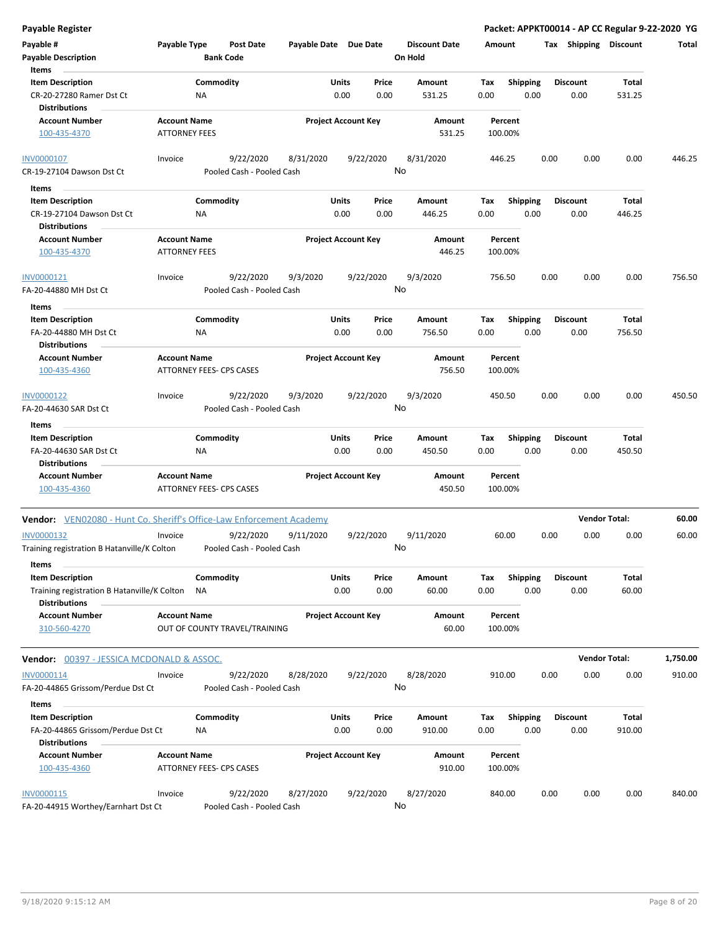| <b>Payable Register</b>                                                     |                                                      |                           |                            |               |               |                      |             |                         |      |                         | Packet: APPKT00014 - AP CC Regular 9-22-2020 YG |          |
|-----------------------------------------------------------------------------|------------------------------------------------------|---------------------------|----------------------------|---------------|---------------|----------------------|-------------|-------------------------|------|-------------------------|-------------------------------------------------|----------|
| Payable #                                                                   | <b>Payable Type</b>                                  | <b>Post Date</b>          | Payable Date Due Date      |               |               | <b>Discount Date</b> | Amount      |                         |      | Tax Shipping Discount   |                                                 | Total    |
| <b>Payable Description</b>                                                  |                                                      | <b>Bank Code</b>          |                            |               |               | On Hold              |             |                         |      |                         |                                                 |          |
| Items                                                                       |                                                      |                           |                            |               |               |                      |             |                         |      |                         |                                                 |          |
| <b>Item Description</b>                                                     | Commodity                                            |                           |                            | Units         | Price         | Amount               | Tax         | <b>Shipping</b>         |      | <b>Discount</b>         | Total                                           |          |
| CR-20-27280 Ramer Dst Ct<br><b>Distributions</b>                            | ΝA                                                   |                           |                            | 0.00          | 0.00          | 531.25               | 0.00        | 0.00                    |      | 0.00                    | 531.25                                          |          |
| <b>Account Number</b>                                                       | <b>Account Name</b>                                  |                           | <b>Project Account Key</b> |               |               | Amount               |             | Percent                 |      |                         |                                                 |          |
| 100-435-4370                                                                | <b>ATTORNEY FEES</b>                                 |                           |                            |               |               | 531.25               |             | 100.00%                 |      |                         |                                                 |          |
| INV0000107                                                                  | Invoice                                              | 9/22/2020                 | 8/31/2020                  |               | 9/22/2020     | 8/31/2020            |             | 446.25                  | 0.00 | 0.00                    | 0.00                                            | 446.25   |
| CR-19-27104 Dawson Dst Ct                                                   |                                                      | Pooled Cash - Pooled Cash |                            |               |               | No                   |             |                         |      |                         |                                                 |          |
| Items                                                                       |                                                      |                           |                            |               |               |                      |             |                         |      |                         |                                                 |          |
| <b>Item Description</b>                                                     | Commodity                                            |                           |                            | Units         | Price         | Amount               | Tax         | <b>Shipping</b>         |      | <b>Discount</b>         | Total                                           |          |
| CR-19-27104 Dawson Dst Ct                                                   | ΝA                                                   |                           |                            | 0.00          | 0.00          | 446.25               | 0.00        | 0.00                    |      | 0.00                    | 446.25                                          |          |
| <b>Distributions</b>                                                        |                                                      |                           |                            |               |               |                      |             |                         |      |                         |                                                 |          |
| <b>Account Number</b><br>100-435-4370                                       | <b>Account Name</b><br><b>ATTORNEY FEES</b>          |                           | <b>Project Account Key</b> |               |               | Amount<br>446.25     |             | Percent<br>100.00%      |      |                         |                                                 |          |
| INV0000121                                                                  | Invoice                                              | 9/22/2020                 | 9/3/2020                   |               | 9/22/2020     | 9/3/2020             |             | 756.50                  | 0.00 | 0.00                    | 0.00                                            | 756.50   |
| FA-20-44880 MH Dst Ct                                                       |                                                      | Pooled Cash - Pooled Cash |                            |               |               | No                   |             |                         |      |                         |                                                 |          |
| Items                                                                       |                                                      |                           |                            |               |               |                      |             |                         |      |                         |                                                 |          |
| <b>Item Description</b>                                                     | Commodity                                            |                           |                            | Units         | Price         | Amount               | Tax         | <b>Shipping</b>         |      | <b>Discount</b>         | Total                                           |          |
| FA-20-44880 MH Dst Ct<br><b>Distributions</b>                               | NA                                                   |                           |                            | 0.00          | 0.00          | 756.50               | 0.00        | 0.00                    |      | 0.00                    | 756.50                                          |          |
| <b>Account Number</b>                                                       | <b>Account Name</b>                                  |                           | <b>Project Account Key</b> |               |               | <b>Amount</b>        |             | Percent                 |      |                         |                                                 |          |
| 100-435-4360                                                                | ATTORNEY FEES- CPS CASES                             |                           |                            |               |               | 756.50               |             | 100.00%                 |      |                         |                                                 |          |
| INV0000122                                                                  | Invoice                                              | 9/22/2020                 | 9/3/2020                   |               | 9/22/2020     | 9/3/2020             |             | 450.50                  | 0.00 | 0.00                    | 0.00                                            | 450.50   |
| FA-20-44630 SAR Dst Ct                                                      |                                                      | Pooled Cash - Pooled Cash |                            |               |               | No                   |             |                         |      |                         |                                                 |          |
| Items                                                                       |                                                      |                           |                            | Units         | Price         |                      |             |                         |      |                         | <b>Total</b>                                    |          |
| <b>Item Description</b><br>FA-20-44630 SAR Dst Ct<br><b>Distributions</b>   | Commodity<br>ΝA                                      |                           |                            | 0.00          | 0.00          | Amount<br>450.50     | Tax<br>0.00 | <b>Shipping</b><br>0.00 |      | <b>Discount</b><br>0.00 | 450.50                                          |          |
| <b>Account Number</b>                                                       | <b>Account Name</b>                                  |                           | <b>Project Account Key</b> |               |               | Amount               |             | Percent                 |      |                         |                                                 |          |
| 100-435-4360                                                                | <b>ATTORNEY FEES- CPS CASES</b>                      |                           |                            |               |               | 450.50               |             | 100.00%                 |      |                         |                                                 |          |
| <b>Vendor:</b> VEN02080 - Hunt Co. Sheriff's Office-Law Enforcement Academy |                                                      |                           |                            |               |               |                      |             |                         |      |                         | <b>Vendor Total:</b>                            | 60.00    |
| INV0000132                                                                  | Invoice                                              | 9/22/2020                 | 9/11/2020                  |               | 9/22/2020     | 9/11/2020            |             | 60.00                   | 0.00 | 0.00                    | 0.00                                            | 60.00    |
| Training registration B Hatanville/K Colton                                 |                                                      | Pooled Cash - Pooled Cash |                            |               |               | No.                  |             |                         |      |                         |                                                 |          |
| Items<br><b>Item Description</b>                                            |                                                      |                           |                            |               |               | Amount               |             |                         |      |                         | <b>Total</b>                                    |          |
| Training registration B Hatanville/K Colton<br><b>Distributions</b>         | Commodity<br>ΝA                                      |                           |                            | Units<br>0.00 | Price<br>0.00 | 60.00                | Тах<br>0.00 | <b>Shipping</b><br>0.00 |      | <b>Discount</b><br>0.00 | 60.00                                           |          |
| <b>Account Number</b><br>310-560-4270                                       | <b>Account Name</b><br>OUT OF COUNTY TRAVEL/TRAINING |                           | <b>Project Account Key</b> |               |               | Amount<br>60.00      |             | Percent<br>100.00%      |      |                         |                                                 |          |
| <b>Vendor: 00397 - JESSICA MCDONALD &amp; ASSOC.</b>                        |                                                      |                           |                            |               |               |                      |             |                         |      |                         | <b>Vendor Total:</b>                            | 1,750.00 |
| INV0000114                                                                  | Invoice                                              | 9/22/2020                 | 8/28/2020                  |               | 9/22/2020     | 8/28/2020            |             | 910.00                  | 0.00 | 0.00                    | 0.00                                            | 910.00   |
| FA-20-44865 Grissom/Perdue Dst Ct                                           |                                                      | Pooled Cash - Pooled Cash |                            |               |               | No                   |             |                         |      |                         |                                                 |          |
| Items                                                                       |                                                      |                           |                            |               |               |                      |             |                         |      |                         |                                                 |          |
| <b>Item Description</b>                                                     | Commodity                                            |                           |                            | Units         | Price         | Amount               | Тах         | <b>Shipping</b>         |      | <b>Discount</b>         | Total                                           |          |
| FA-20-44865 Grissom/Perdue Dst Ct<br><b>Distributions</b>                   | ΝA                                                   |                           |                            | 0.00          | 0.00          | 910.00               | 0.00        | 0.00                    |      | 0.00                    | 910.00                                          |          |
| <b>Account Number</b>                                                       | <b>Account Name</b>                                  |                           | <b>Project Account Key</b> |               |               | Amount               |             | Percent                 |      |                         |                                                 |          |
| 100-435-4360                                                                | ATTORNEY FEES- CPS CASES                             |                           |                            |               |               | 910.00               |             | 100.00%                 |      |                         |                                                 |          |
| INV0000115                                                                  | Invoice                                              | 9/22/2020                 | 8/27/2020                  |               | 9/22/2020     | 8/27/2020            |             | 840.00                  | 0.00 | 0.00                    | 0.00                                            | 840.00   |
| FA-20-44915 Worthey/Earnhart Dst Ct                                         |                                                      | Pooled Cash - Pooled Cash |                            |               |               | No                   |             |                         |      |                         |                                                 |          |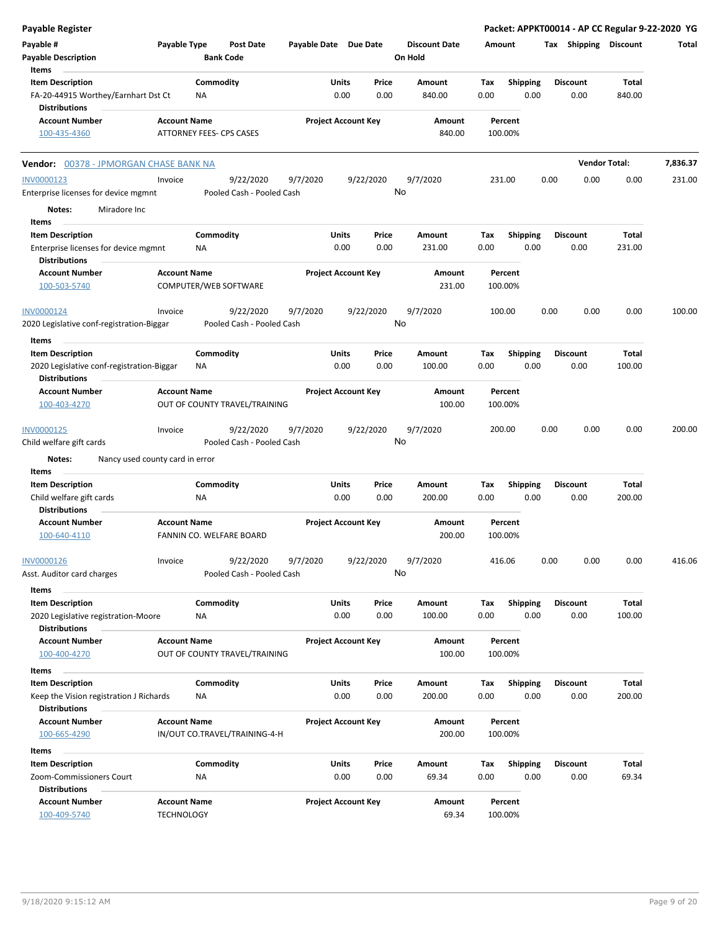| Payable Register                                                      |                                          |                        |                                      |                            |               |               |                                 |             |                         |      |                         |                      | Packet: APPKT00014 - AP CC Regular 9-22-2020 YG |
|-----------------------------------------------------------------------|------------------------------------------|------------------------|--------------------------------------|----------------------------|---------------|---------------|---------------------------------|-------------|-------------------------|------|-------------------------|----------------------|-------------------------------------------------|
| Payable #<br><b>Payable Description</b><br>Items                      | Payable Type                             |                        | <b>Post Date</b><br><b>Bank Code</b> | Payable Date Due Date      |               |               | <b>Discount Date</b><br>On Hold | Amount      |                         |      | Tax Shipping Discount   |                      | Total                                           |
| <b>Item Description</b>                                               |                                          | Commodity              |                                      |                            | Units         | Price         | Amount                          | Tax         |                         |      | <b>Discount</b>         | Total                |                                                 |
| FA-20-44915 Worthey/Earnhart Dst Ct                                   |                                          | <b>NA</b>              |                                      |                            | 0.00          | 0.00          | 840.00                          | 0.00        | <b>Shipping</b><br>0.00 |      | 0.00                    | 840.00               |                                                 |
| <b>Distributions</b>                                                  |                                          |                        |                                      |                            |               |               |                                 |             |                         |      |                         |                      |                                                 |
| <b>Account Number</b>                                                 | <b>Account Name</b>                      |                        |                                      | <b>Project Account Key</b> |               |               | Amount                          |             | Percent                 |      |                         |                      |                                                 |
| 100-435-4360                                                          |                                          |                        | ATTORNEY FEES- CPS CASES             |                            |               |               | 840.00                          |             | 100.00%                 |      |                         |                      |                                                 |
| <b>Vendor:</b> 00378 - JPMORGAN CHASE BANK NA                         |                                          |                        |                                      |                            |               |               |                                 |             |                         |      |                         | <b>Vendor Total:</b> | 7,836.37                                        |
| <b>INV0000123</b>                                                     | Invoice                                  |                        | 9/22/2020                            | 9/7/2020                   |               | 9/22/2020     | 9/7/2020                        |             | 231.00                  | 0.00 | 0.00                    | 0.00                 | 231.00                                          |
| Enterprise licenses for device mgmnt                                  |                                          |                        | Pooled Cash - Pooled Cash            |                            |               | No            |                                 |             |                         |      |                         |                      |                                                 |
| Miradore Inc<br>Notes:<br>Items                                       |                                          |                        |                                      |                            |               |               |                                 |             |                         |      |                         |                      |                                                 |
| <b>Item Description</b>                                               |                                          | Commodity              |                                      |                            | Units         | Price         | Amount                          | Tax         | <b>Shipping</b>         |      | <b>Discount</b>         | Total                |                                                 |
| Enterprise licenses for device mgmnt<br><b>Distributions</b>          |                                          | ΝA                     |                                      |                            | 0.00          | 0.00          | 231.00                          | 0.00        | 0.00                    |      | 0.00                    | 231.00               |                                                 |
| <b>Account Number</b><br>100-503-5740                                 | <b>Account Name</b>                      |                        | COMPUTER/WEB SOFTWARE                | <b>Project Account Key</b> |               |               | Amount<br>231.00                |             | Percent<br>100.00%      |      |                         |                      |                                                 |
| INV0000124                                                            | Invoice                                  |                        | 9/22/2020                            | 9/7/2020                   |               | 9/22/2020     | 9/7/2020                        |             | 100.00                  | 0.00 | 0.00                    | 0.00                 | 100.00                                          |
| 2020 Legislative conf-registration-Biggar                             |                                          |                        | Pooled Cash - Pooled Cash            |                            |               | No            |                                 |             |                         |      |                         |                      |                                                 |
| Items                                                                 |                                          |                        |                                      |                            |               |               |                                 |             |                         |      |                         |                      |                                                 |
| <b>Item Description</b><br>2020 Legislative conf-registration-Biggar  |                                          | Commodity<br><b>NA</b> |                                      |                            | Units<br>0.00 | Price<br>0.00 | Amount<br>100.00                | Tax<br>0.00 | <b>Shipping</b><br>0.00 |      | <b>Discount</b><br>0.00 | Total<br>100.00      |                                                 |
| <b>Distributions</b><br><b>Account Number</b>                         | <b>Account Name</b>                      |                        |                                      | <b>Project Account Key</b> |               |               | Amount                          |             | Percent                 |      |                         |                      |                                                 |
| 100-403-4270                                                          |                                          |                        | OUT OF COUNTY TRAVEL/TRAINING        |                            |               |               | 100.00                          |             | 100.00%                 |      |                         |                      |                                                 |
| INV0000125                                                            | Invoice                                  |                        | 9/22/2020                            | 9/7/2020                   |               | 9/22/2020     | 9/7/2020                        |             | 200.00                  | 0.00 | 0.00                    | 0.00                 | 200.00                                          |
| Child welfare gift cards<br>Notes:<br>Nancy used county card in error |                                          |                        | Pooled Cash - Pooled Cash            |                            |               | No            |                                 |             |                         |      |                         |                      |                                                 |
| Items                                                                 |                                          |                        |                                      |                            |               |               |                                 |             |                         |      |                         |                      |                                                 |
| <b>Item Description</b>                                               |                                          | Commodity              |                                      |                            | Units         | Price         | Amount                          | Tax         | <b>Shipping</b>         |      | <b>Discount</b>         | Total                |                                                 |
| Child welfare gift cards                                              |                                          | <b>NA</b>              |                                      |                            | 0.00          | 0.00          | 200.00                          | 0.00        | 0.00                    |      | 0.00                    | 200.00               |                                                 |
| <b>Distributions</b><br><b>Account Number</b>                         | <b>Account Name</b>                      |                        |                                      | <b>Project Account Key</b> |               |               | Amount                          |             | Percent                 |      |                         |                      |                                                 |
| 100-640-4110                                                          |                                          |                        | FANNIN CO. WELFARE BOARD             |                            |               |               | 200.00                          |             | 100.00%                 |      |                         |                      |                                                 |
| INV0000126                                                            | Invoice                                  |                        | 9/22/2020                            | 9/7/2020                   |               | 9/22/2020     | 9/7/2020                        |             | 416.06                  | 0.00 | 0.00                    | 0.00                 | 416.06                                          |
| Asst. Auditor card charges                                            |                                          |                        | Pooled Cash - Pooled Cash            |                            |               | No            |                                 |             |                         |      |                         |                      |                                                 |
| Items<br><b>Item Description</b>                                      |                                          | Commodity              |                                      |                            | Units         | Price         | Amount                          | Tax         | <b>Shipping</b>         |      | <b>Discount</b>         | Total                |                                                 |
| 2020 Legislative registration-Moore<br><b>Distributions</b>           |                                          | ΝA                     |                                      |                            | 0.00          | 0.00          | 100.00                          | 0.00        | 0.00                    |      | 0.00                    | 100.00               |                                                 |
| <b>Account Number</b>                                                 | <b>Account Name</b>                      |                        |                                      | <b>Project Account Key</b> |               |               | Amount                          |             | Percent                 |      |                         |                      |                                                 |
| 100-400-4270                                                          |                                          |                        | OUT OF COUNTY TRAVEL/TRAINING        |                            |               |               | 100.00                          |             | 100.00%                 |      |                         |                      |                                                 |
| Items                                                                 |                                          |                        |                                      |                            |               |               |                                 |             |                         |      |                         |                      |                                                 |
| <b>Item Description</b>                                               |                                          | Commodity              |                                      |                            | Units         | Price         | Amount                          | Tax         | <b>Shipping</b>         |      | <b>Discount</b>         | Total                |                                                 |
| Keep the Vision registration J Richards<br><b>Distributions</b>       |                                          | ΝA                     |                                      |                            | 0.00          | 0.00          | 200.00                          | 0.00        | 0.00                    |      | 0.00                    | 200.00               |                                                 |
| <b>Account Number</b>                                                 | <b>Account Name</b>                      |                        |                                      | <b>Project Account Key</b> |               |               | Amount                          |             | Percent                 |      |                         |                      |                                                 |
| 100-665-4290                                                          |                                          |                        | IN/OUT CO.TRAVEL/TRAINING-4-H        |                            |               |               | 200.00                          |             | 100.00%                 |      |                         |                      |                                                 |
| Items                                                                 |                                          |                        |                                      |                            |               |               |                                 |             |                         |      |                         |                      |                                                 |
| <b>Item Description</b>                                               |                                          | Commodity              |                                      |                            | Units         | Price         | Amount                          | Тах         | Shipping                |      | <b>Discount</b>         | Total                |                                                 |
| Zoom-Commissioners Court                                              |                                          | ΝA                     |                                      |                            | 0.00          | 0.00          | 69.34                           | 0.00        | 0.00                    |      | 0.00                    | 69.34                |                                                 |
| <b>Distributions</b>                                                  |                                          |                        |                                      |                            |               |               |                                 |             |                         |      |                         |                      |                                                 |
| <b>Account Number</b><br>100-409-5740                                 | <b>Account Name</b><br><b>TECHNOLOGY</b> |                        |                                      | <b>Project Account Key</b> |               |               | Amount<br>69.34                 |             | Percent<br>100.00%      |      |                         |                      |                                                 |
|                                                                       |                                          |                        |                                      |                            |               |               |                                 |             |                         |      |                         |                      |                                                 |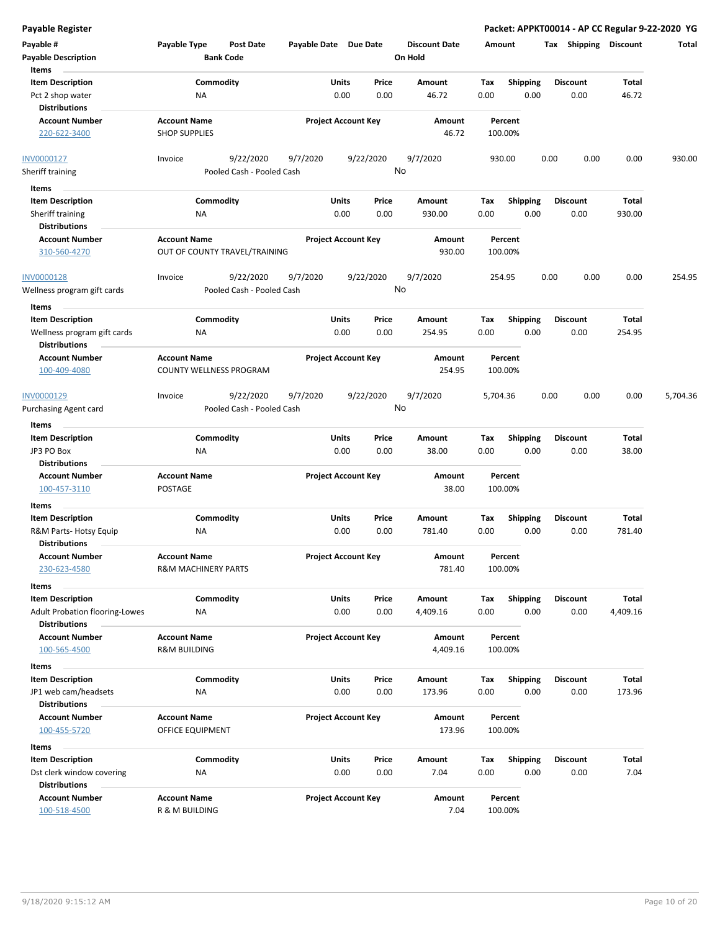| Payable #<br><b>Payable Description</b>                                      | Payable Type                                   | Post Date<br><b>Bank Code</b>          | Payable Date Due Date |                            | <b>Discount Date</b><br>On Hold | Amount      |                         | <b>Shipping</b><br>Tax  | <b>Discount</b> | Total    |
|------------------------------------------------------------------------------|------------------------------------------------|----------------------------------------|-----------------------|----------------------------|---------------------------------|-------------|-------------------------|-------------------------|-----------------|----------|
| Items<br><b>Item Description</b><br>Pct 2 shop water<br><b>Distributions</b> | ΝA                                             | Commodity                              | Units                 | Price<br>0.00<br>0.00      | Amount<br>46.72                 | Tax<br>0.00 | <b>Shipping</b><br>0.00 | <b>Discount</b><br>0.00 | Total<br>46.72  |          |
| <b>Account Number</b><br>220-622-3400                                        | <b>Account Name</b><br><b>SHOP SUPPLIES</b>    |                                        |                       | <b>Project Account Key</b> | Amount<br>46.72                 |             | Percent<br>100.00%      |                         |                 |          |
| <b>INV0000127</b><br><b>Sheriff training</b>                                 | Invoice                                        | 9/22/2020<br>Pooled Cash - Pooled Cash | 9/7/2020              | 9/22/2020                  | 9/7/2020<br>No                  |             | 930.00                  | 0.00<br>0.00            | 0.00            | 930.00   |
| Items                                                                        |                                                |                                        |                       |                            |                                 |             |                         |                         |                 |          |
| <b>Item Description</b><br>Sheriff training<br><b>Distributions</b>          | ΝA                                             | Commodity                              | Units                 | Price<br>0.00<br>0.00      | Amount<br>930.00                | Tax<br>0.00 | <b>Shipping</b><br>0.00 | <b>Discount</b><br>0.00 | Total<br>930.00 |          |
| <b>Account Number</b><br>310-560-4270                                        | <b>Account Name</b>                            | OUT OF COUNTY TRAVEL/TRAINING          |                       | <b>Project Account Key</b> | Amount<br>930.00                |             | Percent<br>100.00%      |                         |                 |          |
| INV0000128<br>Wellness program gift cards                                    | Invoice                                        | 9/22/2020<br>Pooled Cash - Pooled Cash | 9/7/2020              | 9/22/2020                  | 9/7/2020<br>No                  |             | 254.95                  | 0.00<br>0.00            | 0.00            | 254.95   |
| Items<br><b>Item Description</b>                                             |                                                | Commodity                              | Units                 | Price                      | Amount                          | Tax         | <b>Shipping</b>         | <b>Discount</b>         | Total           |          |
| Wellness program gift cards<br><b>Distributions</b>                          | ΝA                                             |                                        |                       | 0.00<br>0.00               | 254.95                          | 0.00        | 0.00                    | 0.00                    | 254.95          |          |
| <b>Account Number</b><br>100-409-4080                                        | <b>Account Name</b>                            | COUNTY WELLNESS PROGRAM                |                       | <b>Project Account Key</b> | Amount<br>254.95                |             | Percent<br>100.00%      |                         |                 |          |
| INV0000129<br>Purchasing Agent card                                          | Invoice                                        | 9/22/2020<br>Pooled Cash - Pooled Cash | 9/7/2020              | 9/22/2020                  | 9/7/2020<br>No                  | 5,704.36    |                         | 0.00<br>0.00            | 0.00            | 5,704.36 |
| Items                                                                        |                                                |                                        |                       |                            |                                 |             |                         |                         |                 |          |
| <b>Item Description</b>                                                      |                                                | Commodity                              | <b>Units</b>          | Price                      | Amount                          | Tax         | Shipping                | <b>Discount</b>         | Total           |          |
| JP3 PO Box<br><b>Distributions</b>                                           | ΝA                                             |                                        |                       | 0.00<br>0.00               | 38.00                           | 0.00        | 0.00                    | 0.00                    | 38.00           |          |
| <b>Account Number</b><br>100-457-3110                                        | <b>Account Name</b><br>POSTAGE                 |                                        |                       | <b>Project Account Key</b> | Amount<br>38.00                 |             | Percent<br>100.00%      |                         |                 |          |
| Items<br><b>Item Description</b>                                             |                                                | Commodity                              | Units                 | Price                      | Amount                          | Tax         | <b>Shipping</b>         | <b>Discount</b>         | Total           |          |
| R&M Parts- Hotsy Equip<br><b>Distributions</b>                               | ΝA                                             |                                        |                       | 0.00<br>0.00               | 781.40                          | 0.00        | 0.00                    | 0.00                    | 781.40          |          |
| <b>Account Number</b><br>230-623-4580                                        | <b>Account Name</b><br>R&M MACHINERY PARTS     |                                        |                       | <b>Project Account Key</b> | Amount<br>781.40                |             | Percent<br>100.00%      |                         |                 |          |
| Items<br><b>Item Description</b>                                             |                                                | Commodity                              | <b>Units</b>          | Price                      | Amount                          | Tax         | Shipping                | <b>Discount</b>         | Total           |          |
| <b>Adult Probation flooring-Lowes</b><br><b>Distributions</b>                | <b>NA</b>                                      |                                        |                       | 0.00<br>0.00               | 4,409.16                        | 0.00        | 0.00                    | 0.00                    | 4,409.16        |          |
| <b>Account Number</b><br>100-565-4500                                        | <b>Account Name</b><br><b>R&amp;M BUILDING</b> |                                        |                       | <b>Project Account Key</b> | Amount<br>4,409.16              |             | Percent<br>100.00%      |                         |                 |          |
| Items                                                                        |                                                |                                        |                       |                            |                                 |             |                         |                         |                 |          |
| <b>Item Description</b><br>JP1 web cam/headsets                              | NA                                             | Commodity                              | Units                 | Price<br>0.00<br>0.00      | Amount<br>173.96                | Tax<br>0.00 | <b>Shipping</b><br>0.00 | Discount<br>0.00        | Total<br>173.96 |          |
| <b>Distributions</b><br><b>Account Number</b><br>100-455-5720                | <b>Account Name</b><br>OFFICE EQUIPMENT        |                                        |                       | <b>Project Account Key</b> | Amount<br>173.96                |             | Percent<br>100.00%      |                         |                 |          |
| Items                                                                        |                                                |                                        |                       |                            |                                 |             |                         |                         |                 |          |
| <b>Item Description</b><br>Dst clerk window covering<br><b>Distributions</b> | ΝA                                             | Commodity                              | Units                 | Price<br>0.00<br>0.00      | Amount<br>7.04                  | Tax<br>0.00 | <b>Shipping</b><br>0.00 | Discount<br>0.00        | Total<br>7.04   |          |
| <b>Account Number</b><br>100-518-4500                                        | <b>Account Name</b><br>R & M BUILDING          |                                        |                       | <b>Project Account Key</b> | Amount<br>7.04                  |             | Percent<br>100.00%      |                         |                 |          |

**Payable Register Packet: APPKT00014 - AP CC Regular 9-22-2020 YG**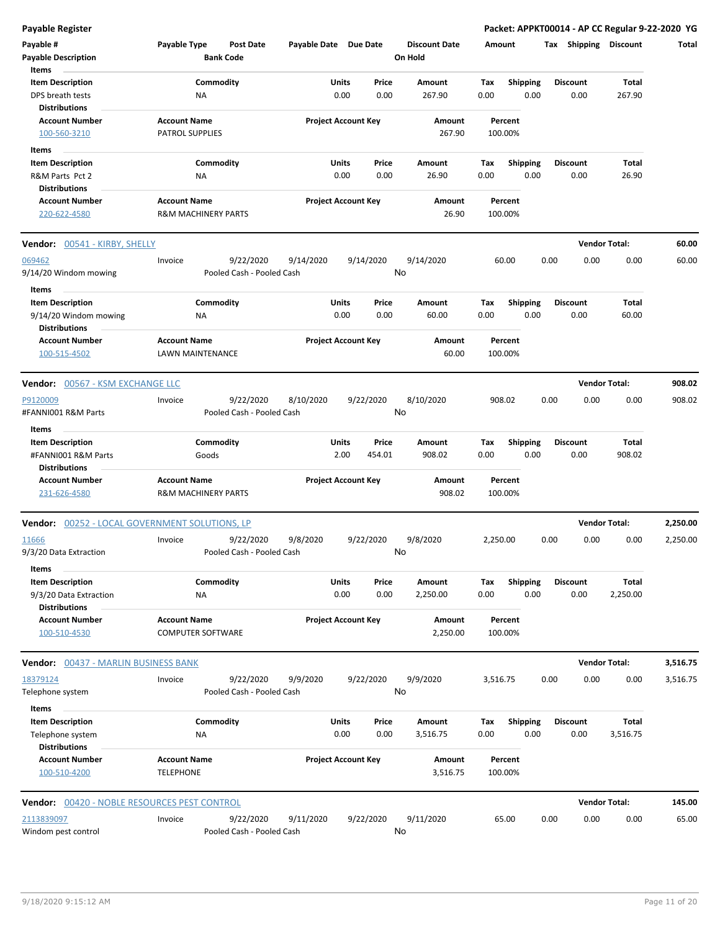| <b>Payable Register</b>                               |                                                       |                       |                                |                                 |                                        | Packet: APPKT00014 - AP CC Regular 9-22-2020 YG |                      |          |
|-------------------------------------------------------|-------------------------------------------------------|-----------------------|--------------------------------|---------------------------------|----------------------------------------|-------------------------------------------------|----------------------|----------|
| Payable #<br><b>Payable Description</b>               | Payable Type<br><b>Post Date</b><br><b>Bank Code</b>  | Payable Date Due Date |                                | <b>Discount Date</b><br>On Hold | Amount                                 | Tax Shipping Discount                           |                      | Total    |
| Items                                                 |                                                       |                       |                                |                                 |                                        |                                                 |                      |          |
| <b>Item Description</b><br>DPS breath tests           | Commodity<br>ΝA                                       |                       | Units<br>Price<br>0.00<br>0.00 | Amount<br>267.90                | Tax<br><b>Shipping</b><br>0.00<br>0.00 | <b>Discount</b><br>0.00                         | Total<br>267.90      |          |
| <b>Distributions</b>                                  |                                                       |                       |                                |                                 |                                        |                                                 |                      |          |
| <b>Account Number</b><br>100-560-3210                 | <b>Account Name</b><br><b>PATROL SUPPLIES</b>         |                       | <b>Project Account Key</b>     | Amount<br>267.90                | Percent<br>100.00%                     |                                                 |                      |          |
| Items                                                 |                                                       |                       |                                |                                 |                                        |                                                 |                      |          |
| <b>Item Description</b>                               | Commodity                                             |                       | Units<br>Price                 | Amount                          | <b>Shipping</b><br>Tax                 | <b>Discount</b>                                 | Total                |          |
| R&M Parts Pct 2                                       | ΝA                                                    |                       | 0.00<br>0.00                   | 26.90                           | 0.00<br>0.00                           | 0.00                                            | 26.90                |          |
| <b>Distributions</b>                                  |                                                       |                       |                                |                                 |                                        |                                                 |                      |          |
| <b>Account Number</b><br>220-622-4580                 | <b>Account Name</b><br><b>R&amp;M MACHINERY PARTS</b> |                       | <b>Project Account Key</b>     | Amount<br>26.90                 | Percent<br>100.00%                     |                                                 |                      |          |
| <b>Vendor:</b> 00541 - KIRBY, SHELLY                  |                                                       |                       |                                |                                 |                                        |                                                 | <b>Vendor Total:</b> | 60.00    |
| 069462<br>9/14/20 Windom mowing                       | 9/22/2020<br>Invoice<br>Pooled Cash - Pooled Cash     | 9/14/2020             | 9/14/2020                      | 9/14/2020<br>No                 | 60.00                                  | 0.00<br>0.00                                    | 0.00                 | 60.00    |
| Items                                                 |                                                       |                       |                                |                                 |                                        |                                                 |                      |          |
| <b>Item Description</b>                               | Commodity                                             |                       | Units<br>Price                 | Amount                          | Shipping<br>Tax                        | <b>Discount</b>                                 | Total                |          |
| 9/14/20 Windom mowing                                 | ΝA                                                    |                       | 0.00<br>0.00                   | 60.00                           | 0.00<br>0.00                           | 0.00                                            | 60.00                |          |
| <b>Distributions</b>                                  |                                                       |                       |                                |                                 |                                        |                                                 |                      |          |
| <b>Account Number</b><br>100-515-4502                 | <b>Account Name</b><br>LAWN MAINTENANCE               |                       | <b>Project Account Key</b>     | Amount<br>60.00                 | Percent<br>100.00%                     |                                                 |                      |          |
| Vendor: 00567 - KSM EXCHANGE LLC                      |                                                       |                       |                                |                                 |                                        |                                                 | <b>Vendor Total:</b> | 908.02   |
| P9120009                                              | 9/22/2020<br>Invoice                                  | 8/10/2020             | 9/22/2020                      | 8/10/2020                       | 908.02                                 | 0.00<br>0.00                                    | 0.00                 | 908.02   |
| #FANNI001 R&M Parts<br>Items                          | Pooled Cash - Pooled Cash                             |                       |                                | No                              |                                        |                                                 |                      |          |
| <b>Item Description</b>                               | Commodity                                             |                       | Units<br>Price                 | Amount                          | Shipping<br>Tax                        | <b>Discount</b>                                 | Total                |          |
| #FANNI001 R&M Parts<br><b>Distributions</b>           | Goods                                                 |                       | 2.00<br>454.01                 | 908.02                          | 0.00<br>0.00                           | 0.00                                            | 908.02               |          |
| <b>Account Number</b><br>231-626-4580                 | <b>Account Name</b><br><b>R&amp;M MACHINERY PARTS</b> |                       | <b>Project Account Key</b>     | Amount<br>908.02                | Percent<br>100.00%                     |                                                 |                      |          |
| <b>Vendor:</b> 00252 - LOCAL GOVERNMENT SOLUTIONS, LP |                                                       |                       |                                |                                 |                                        |                                                 | <b>Vendor Total:</b> | 2,250.00 |
| <u>11666</u>                                          | 9/22/2020<br>Invoice                                  | 9/8/2020              | 9/22/2020                      | 9/8/2020                        | 2,250.00                               | 0.00<br>0.00                                    | 0.00                 | 2,250.00 |
| 9/3/20 Data Extraction<br>Items                       | Pooled Cash - Pooled Cash                             |                       |                                | No                              |                                        |                                                 |                      |          |
| <b>Item Description</b>                               | Commodity                                             |                       | <b>Units</b><br>Price          | Amount                          | <b>Shipping</b><br>Tax                 | <b>Discount</b>                                 | <b>Total</b>         |          |
| 9/3/20 Data Extraction<br><b>Distributions</b>        | ΝA                                                    |                       | 0.00<br>0.00                   | 2,250.00                        | 0.00<br>0.00                           | 0.00                                            | 2,250.00             |          |
| <b>Account Number</b><br>100-510-4530                 | <b>Account Name</b><br><b>COMPUTER SOFTWARE</b>       |                       | <b>Project Account Key</b>     | Amount<br>2,250.00              | Percent<br>100.00%                     |                                                 |                      |          |
| <b>Vendor:</b> 00437 - MARLIN BUSINESS BANK           |                                                       |                       |                                |                                 |                                        |                                                 | <b>Vendor Total:</b> | 3,516.75 |
| 18379124                                              | 9/22/2020<br>Invoice                                  | 9/9/2020              | 9/22/2020                      | 9/9/2020                        | 3,516.75                               | 0.00<br>0.00                                    | 0.00                 | 3,516.75 |
| Telephone system<br>Items                             | Pooled Cash - Pooled Cash                             |                       |                                | No                              |                                        |                                                 |                      |          |
| <b>Item Description</b>                               | Commodity                                             |                       | <b>Units</b><br>Price          | Amount                          | <b>Shipping</b><br>Tax                 | <b>Discount</b>                                 | Total                |          |
| Telephone system<br><b>Distributions</b>              | NA                                                    |                       | 0.00<br>0.00                   | 3,516.75                        | 0.00<br>0.00                           | 0.00                                            | 3,516.75             |          |
| <b>Account Number</b><br>100-510-4200                 | <b>Account Name</b><br><b>TELEPHONE</b>               |                       | <b>Project Account Key</b>     | Amount<br>3,516.75              | Percent<br>100.00%                     |                                                 |                      |          |
| Vendor: 00420 - NOBLE RESOURCES PEST CONTROL          |                                                       |                       |                                |                                 |                                        |                                                 | <b>Vendor Total:</b> | 145.00   |
| 2113839097<br>Windom pest control                     | 9/22/2020<br>Invoice<br>Pooled Cash - Pooled Cash     | 9/11/2020             | 9/22/2020                      | 9/11/2020<br>No                 | 65.00                                  | 0.00<br>0.00                                    | 0.00                 | 65.00    |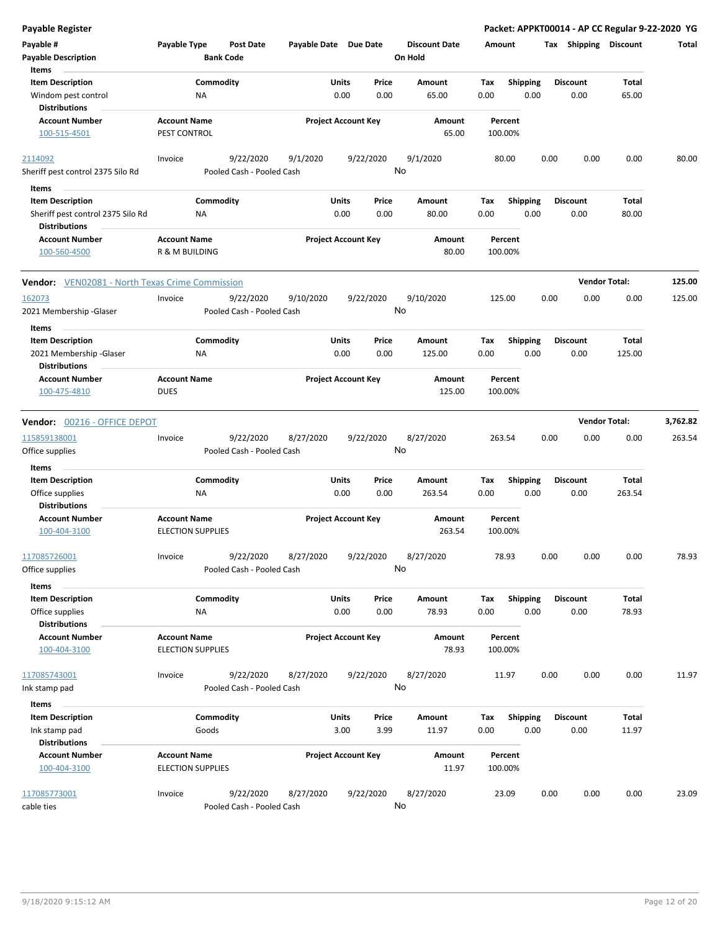| <b>Payable Register</b>                                |                                                 |                           |                            |       |           |                      |        |                    |      |                       | Packet: APPKT00014 - AP CC Regular 9-22-2020 YG |          |
|--------------------------------------------------------|-------------------------------------------------|---------------------------|----------------------------|-------|-----------|----------------------|--------|--------------------|------|-----------------------|-------------------------------------------------|----------|
| Payable #                                              | Payable Type                                    | <b>Post Date</b>          | Payable Date Due Date      |       |           | <b>Discount Date</b> | Amount |                    |      | Tax Shipping Discount |                                                 | Total    |
| <b>Payable Description</b>                             |                                                 | <b>Bank Code</b>          |                            |       |           | On Hold              |        |                    |      |                       |                                                 |          |
| Items                                                  |                                                 |                           |                            |       |           |                      |        |                    |      |                       |                                                 |          |
| <b>Item Description</b>                                |                                                 | Commodity                 |                            | Units | Price     | Amount               | Tax    | <b>Shipping</b>    |      | <b>Discount</b>       | Total                                           |          |
| Windom pest control<br><b>Distributions</b>            | NA                                              |                           |                            | 0.00  | 0.00      | 65.00                | 0.00   | 0.00               |      | 0.00                  | 65.00                                           |          |
| <b>Account Number</b>                                  | <b>Account Name</b>                             |                           | <b>Project Account Key</b> |       |           | Amount               |        | Percent            |      |                       |                                                 |          |
| 100-515-4501                                           | PEST CONTROL                                    |                           |                            |       |           | 65.00                |        | 100.00%            |      |                       |                                                 |          |
| 2114092                                                | Invoice                                         | 9/22/2020                 | 9/1/2020                   |       | 9/22/2020 | 9/1/2020             |        | 80.00              | 0.00 | 0.00                  | 0.00                                            | 80.00    |
| Sheriff pest control 2375 Silo Rd                      |                                                 | Pooled Cash - Pooled Cash |                            |       |           | No                   |        |                    |      |                       |                                                 |          |
| Items                                                  |                                                 |                           |                            |       |           |                      |        |                    |      |                       |                                                 |          |
| <b>Item Description</b>                                |                                                 | Commodity                 |                            | Units | Price     | Amount               | Tax    | <b>Shipping</b>    |      | <b>Discount</b>       | Total                                           |          |
| Sheriff pest control 2375 Silo Rd                      | ΝA                                              |                           |                            | 0.00  | 0.00      | 80.00                | 0.00   | 0.00               |      | 0.00                  | 80.00                                           |          |
| <b>Distributions</b>                                   |                                                 |                           |                            |       |           |                      |        |                    |      |                       |                                                 |          |
| <b>Account Number</b><br>100-560-4500                  | <b>Account Name</b><br>R & M BUILDING           |                           | <b>Project Account Key</b> |       |           | Amount<br>80.00      |        | Percent<br>100.00% |      |                       |                                                 |          |
| <b>Vendor:</b> VEN02081 - North Texas Crime Commission |                                                 |                           |                            |       |           |                      |        |                    |      |                       | <b>Vendor Total:</b>                            | 125.00   |
| 162073                                                 | Invoice                                         | 9/22/2020                 | 9/10/2020                  |       | 9/22/2020 | 9/10/2020            |        | 125.00             | 0.00 | 0.00                  | 0.00                                            | 125.00   |
| 2021 Membership - Glaser                               |                                                 | Pooled Cash - Pooled Cash |                            |       |           | No                   |        |                    |      |                       |                                                 |          |
| Items                                                  |                                                 |                           |                            |       |           |                      |        |                    |      |                       |                                                 |          |
| <b>Item Description</b>                                |                                                 | Commodity                 |                            | Units | Price     | Amount               | Tax    | <b>Shipping</b>    |      | <b>Discount</b>       | Total                                           |          |
| 2021 Membership - Glaser                               | NA                                              |                           |                            | 0.00  | 0.00      | 125.00               | 0.00   | 0.00               |      | 0.00                  | 125.00                                          |          |
| <b>Distributions</b>                                   |                                                 |                           |                            |       |           |                      |        |                    |      |                       |                                                 |          |
| <b>Account Number</b>                                  | <b>Account Name</b>                             |                           | <b>Project Account Key</b> |       |           | Amount               |        | Percent            |      |                       |                                                 |          |
| 100-475-4810                                           | <b>DUES</b>                                     |                           |                            |       |           | 125.00               |        | 100.00%            |      |                       |                                                 |          |
| Vendor: 00216 - OFFICE DEPOT                           |                                                 |                           |                            |       |           |                      |        |                    |      |                       | <b>Vendor Total:</b>                            | 3,762.82 |
| 115859138001                                           | Invoice                                         | 9/22/2020                 | 8/27/2020                  |       | 9/22/2020 | 8/27/2020            |        | 263.54             | 0.00 | 0.00                  | 0.00                                            | 263.54   |
| Office supplies                                        |                                                 | Pooled Cash - Pooled Cash |                            |       |           | No                   |        |                    |      |                       |                                                 |          |
| Items                                                  |                                                 |                           |                            |       |           |                      |        |                    |      |                       |                                                 |          |
| <b>Item Description</b>                                |                                                 | Commodity                 |                            | Units | Price     | <b>Amount</b>        | Tax    | <b>Shipping</b>    |      | <b>Discount</b>       | Total                                           |          |
| Office supplies                                        | NA                                              |                           |                            | 0.00  | 0.00      | 263.54               | 0.00   | 0.00               |      | 0.00                  | 263.54                                          |          |
| <b>Distributions</b>                                   |                                                 |                           |                            |       |           |                      |        |                    |      |                       |                                                 |          |
| <b>Account Number</b>                                  | <b>Account Name</b>                             |                           | <b>Project Account Key</b> |       |           | <b>Amount</b>        |        | Percent            |      |                       |                                                 |          |
| 100-404-3100                                           | <b>ELECTION SUPPLIES</b>                        |                           |                            |       |           | 263.54               |        | 100.00%            |      |                       |                                                 |          |
| 117085726001                                           | Invoice                                         | 9/22/2020                 | 8/27/2020                  |       | 9/22/2020 | 8/27/2020            |        | 78.93              | 0.00 | 0.00                  | 0.00                                            | 78.93    |
| Office supplies                                        |                                                 | Pooled Cash - Pooled Cash |                            |       |           | No                   |        |                    |      |                       |                                                 |          |
| Items                                                  |                                                 |                           |                            |       |           |                      |        |                    |      |                       |                                                 |          |
| <b>Item Description</b>                                |                                                 | Commodity                 |                            | Units | Price     | Amount               | Tax    | Shipping           |      | <b>Discount</b>       | Total                                           |          |
| Office supplies<br><b>Distributions</b>                | ΝA                                              |                           |                            | 0.00  | 0.00      | 78.93                | 0.00   | 0.00               |      | 0.00                  | 78.93                                           |          |
| <b>Account Number</b>                                  | <b>Account Name</b>                             |                           | <b>Project Account Key</b> |       |           | Amount               |        | Percent            |      |                       |                                                 |          |
| 100-404-3100                                           | <b>ELECTION SUPPLIES</b>                        |                           |                            |       |           | 78.93                |        | 100.00%            |      |                       |                                                 |          |
| 117085743001                                           | Invoice                                         | 9/22/2020                 | 8/27/2020                  |       | 9/22/2020 | 8/27/2020            |        | 11.97              | 0.00 | 0.00                  | 0.00                                            | 11.97    |
| Ink stamp pad                                          |                                                 | Pooled Cash - Pooled Cash |                            |       |           | No                   |        |                    |      |                       |                                                 |          |
|                                                        |                                                 |                           |                            |       |           |                      |        |                    |      |                       |                                                 |          |
| Items                                                  |                                                 |                           |                            |       |           |                      |        |                    |      |                       |                                                 |          |
| <b>Item Description</b>                                |                                                 | Commodity                 |                            | Units | Price     | Amount               | Tax    | <b>Shipping</b>    |      | <b>Discount</b>       | Total                                           |          |
| Ink stamp pad                                          |                                                 | Goods                     |                            | 3.00  | 3.99      | 11.97                | 0.00   | 0.00               |      | 0.00                  | 11.97                                           |          |
| <b>Distributions</b>                                   |                                                 |                           |                            |       |           |                      |        |                    |      |                       |                                                 |          |
| <b>Account Number</b><br>100-404-3100                  | <b>Account Name</b><br><b>ELECTION SUPPLIES</b> |                           | <b>Project Account Key</b> |       |           | Amount<br>11.97      |        | Percent<br>100.00% |      |                       |                                                 |          |
| 117085773001                                           | Invoice                                         | 9/22/2020                 | 8/27/2020                  |       | 9/22/2020 | 8/27/2020            |        | 23.09              | 0.00 | 0.00                  | 0.00                                            | 23.09    |
| cable ties                                             |                                                 | Pooled Cash - Pooled Cash |                            |       |           | No                   |        |                    |      |                       |                                                 |          |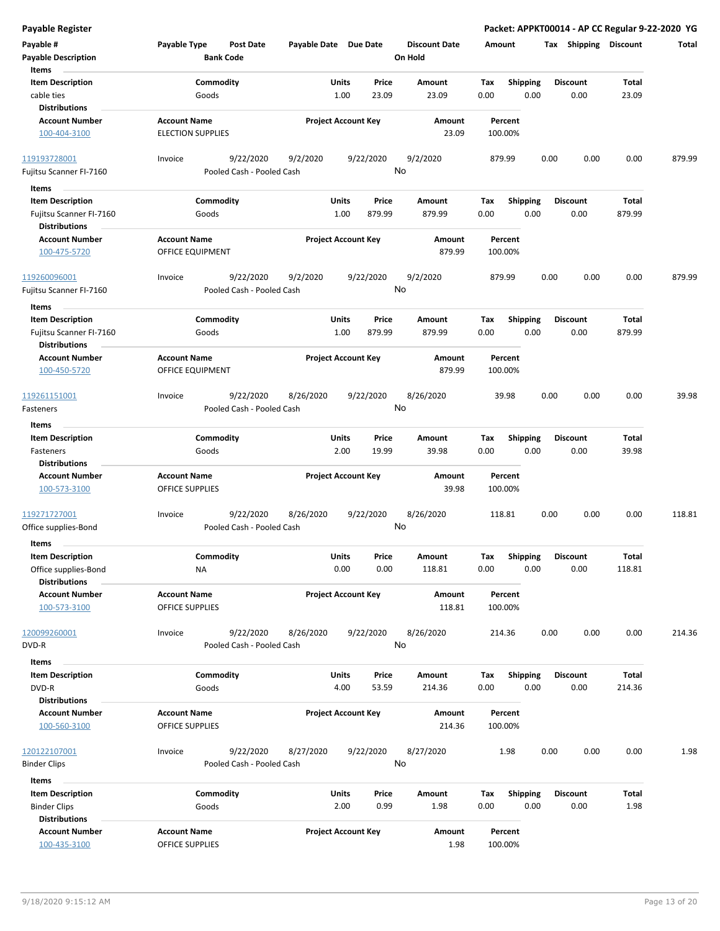| <b>Payable Register</b>                                                             |                                                 |                                                     |                            |                 |                                 |                    |                         |      |                         |                        | Packet: APPKT00014 - AP CC Regular 9-22-2020 YG |
|-------------------------------------------------------------------------------------|-------------------------------------------------|-----------------------------------------------------|----------------------------|-----------------|---------------------------------|--------------------|-------------------------|------|-------------------------|------------------------|-------------------------------------------------|
| Payable #<br><b>Payable Description</b>                                             | Payable Type<br><b>Bank Code</b>                | <b>Post Date</b><br>Payable Date Due Date           |                            |                 | <b>Discount Date</b><br>On Hold | Amount             |                         |      |                         | Tax Shipping Discount  | Total                                           |
| Items<br><b>Item Description</b><br>cable ties                                      | Commodity<br>Goods                              |                                                     | Units<br>1.00              | Price<br>23.09  | <b>Amount</b><br>23.09          | Tax<br>0.00        | <b>Shipping</b><br>0.00 |      | <b>Discount</b><br>0.00 | Total<br>23.09         |                                                 |
| <b>Distributions</b><br><b>Account Number</b><br>100-404-3100                       | <b>Account Name</b><br><b>ELECTION SUPPLIES</b> |                                                     | <b>Project Account Key</b> |                 | Amount<br>23.09                 | Percent<br>100.00% |                         |      |                         |                        |                                                 |
| 119193728001<br>Fujitsu Scanner FI-7160                                             | Invoice                                         | 9/22/2020<br>9/2/2020<br>Pooled Cash - Pooled Cash  | 9/22/2020                  | No              | 9/2/2020                        | 879.99             |                         | 0.00 | 0.00                    | 0.00                   | 879.99                                          |
| Items                                                                               |                                                 |                                                     |                            |                 |                                 |                    |                         |      |                         |                        |                                                 |
| <b>Item Description</b><br>Fujitsu Scanner FI-7160<br><b>Distributions</b>          | Commodity<br>Goods                              |                                                     | Units<br>1.00              | Price<br>879.99 | Amount<br>879.99                | Tax<br>0.00        | <b>Shipping</b><br>0.00 |      | <b>Discount</b><br>0.00 | Total<br>879.99        |                                                 |
| <b>Account Number</b><br>100-475-5720                                               | <b>Account Name</b><br><b>OFFICE EQUIPMENT</b>  |                                                     | <b>Project Account Key</b> |                 | Amount<br>879.99                | Percent<br>100.00% |                         |      |                         |                        |                                                 |
| 119260096001<br>Fujitsu Scanner FI-7160                                             | Invoice                                         | 9/22/2020<br>9/2/2020<br>Pooled Cash - Pooled Cash  | 9/22/2020                  | No              | 9/2/2020                        | 879.99             |                         | 0.00 | 0.00                    | 0.00                   | 879.99                                          |
| Items<br><b>Item Description</b><br>Fujitsu Scanner FI-7160<br><b>Distributions</b> | Commodity<br>Goods                              |                                                     | Units<br>1.00              | Price<br>879.99 | Amount<br>879.99                | Tax<br>0.00        | <b>Shipping</b><br>0.00 |      | <b>Discount</b><br>0.00 | Total<br>879.99        |                                                 |
| <b>Account Number</b><br>100-450-5720                                               | <b>Account Name</b><br>OFFICE EQUIPMENT         |                                                     | <b>Project Account Key</b> |                 | Amount<br>879.99                | Percent<br>100.00% |                         |      |                         |                        |                                                 |
| 119261151001<br>Fasteners                                                           | Invoice                                         | 9/22/2020<br>8/26/2020<br>Pooled Cash - Pooled Cash | 9/22/2020                  | No              | 8/26/2020                       | 39.98              |                         | 0.00 | 0.00                    | 0.00                   | 39.98                                           |
| Items                                                                               |                                                 |                                                     |                            |                 |                                 |                    |                         |      |                         |                        |                                                 |
| <b>Item Description</b><br>Fasteners<br><b>Distributions</b>                        | Commodity<br>Goods                              |                                                     | Units<br>2.00              | Price<br>19.99  | Amount<br>39.98                 | Tax<br>0.00        | <b>Shipping</b><br>0.00 |      | <b>Discount</b><br>0.00 | Total<br>39.98         |                                                 |
| <b>Account Number</b><br>100-573-3100                                               | <b>Account Name</b><br><b>OFFICE SUPPLIES</b>   |                                                     | <b>Project Account Key</b> |                 | Amount<br>39.98                 | Percent<br>100.00% |                         |      |                         |                        |                                                 |
| 119271727001<br>Office supplies-Bond                                                | Invoice                                         | 9/22/2020<br>8/26/2020<br>Pooled Cash - Pooled Cash | 9/22/2020                  | No              | 8/26/2020                       | 118.81             |                         | 0.00 | 0.00                    | 0.00                   | 118.81                                          |
| Items                                                                               |                                                 |                                                     |                            |                 |                                 |                    |                         |      |                         |                        |                                                 |
| <b>Item Description</b><br>Office supplies-Bond<br><b>Distributions</b>             | Commodity<br><b>NA</b>                          |                                                     | Units<br>0.00              | Price<br>0.00   | Amount<br>118.81                | Tax<br>0.00        | Shipping<br>0.00        |      | <b>Discount</b><br>0.00 | <b>Total</b><br>118.81 |                                                 |
| <b>Account Number</b><br>100-573-3100                                               | <b>Account Name</b><br><b>OFFICE SUPPLIES</b>   |                                                     | <b>Project Account Key</b> |                 | Amount<br>118.81                | Percent<br>100.00% |                         |      |                         |                        |                                                 |
| 120099260001<br>DVD-R                                                               | Invoice                                         | 9/22/2020<br>8/26/2020<br>Pooled Cash - Pooled Cash | 9/22/2020                  | No              | 8/26/2020                       | 214.36             |                         | 0.00 | 0.00                    | 0.00                   | 214.36                                          |
| Items                                                                               |                                                 |                                                     |                            |                 |                                 |                    |                         |      |                         |                        |                                                 |
| <b>Item Description</b><br>DVD-R<br><b>Distributions</b>                            | Commodity<br>Goods                              |                                                     | Units<br>4.00              | Price<br>53.59  | Amount<br>214.36                | Tax<br>0.00        | <b>Shipping</b><br>0.00 |      | <b>Discount</b><br>0.00 | <b>Total</b><br>214.36 |                                                 |
| <b>Account Number</b><br>100-560-3100                                               | <b>Account Name</b><br><b>OFFICE SUPPLIES</b>   |                                                     | <b>Project Account Key</b> |                 | Amount<br>214.36                | Percent<br>100.00% |                         |      |                         |                        |                                                 |
| 120122107001<br><b>Binder Clips</b>                                                 | Invoice                                         | 9/22/2020<br>8/27/2020<br>Pooled Cash - Pooled Cash | 9/22/2020                  | No              | 8/27/2020                       | 1.98               |                         | 0.00 | 0.00                    | 0.00                   | 1.98                                            |
| Items                                                                               |                                                 |                                                     |                            |                 |                                 |                    |                         |      |                         |                        |                                                 |
| <b>Item Description</b><br><b>Binder Clips</b><br><b>Distributions</b>              | Commodity<br>Goods                              |                                                     | Units<br>2.00              | Price<br>0.99   | Amount<br>1.98                  | Tax<br>0.00        | Shipping<br>0.00        |      | <b>Discount</b><br>0.00 | Total<br>1.98          |                                                 |
| <b>Account Number</b><br>100-435-3100                                               | <b>Account Name</b><br>OFFICE SUPPLIES          |                                                     | <b>Project Account Key</b> |                 | Amount<br>1.98                  | Percent<br>100.00% |                         |      |                         |                        |                                                 |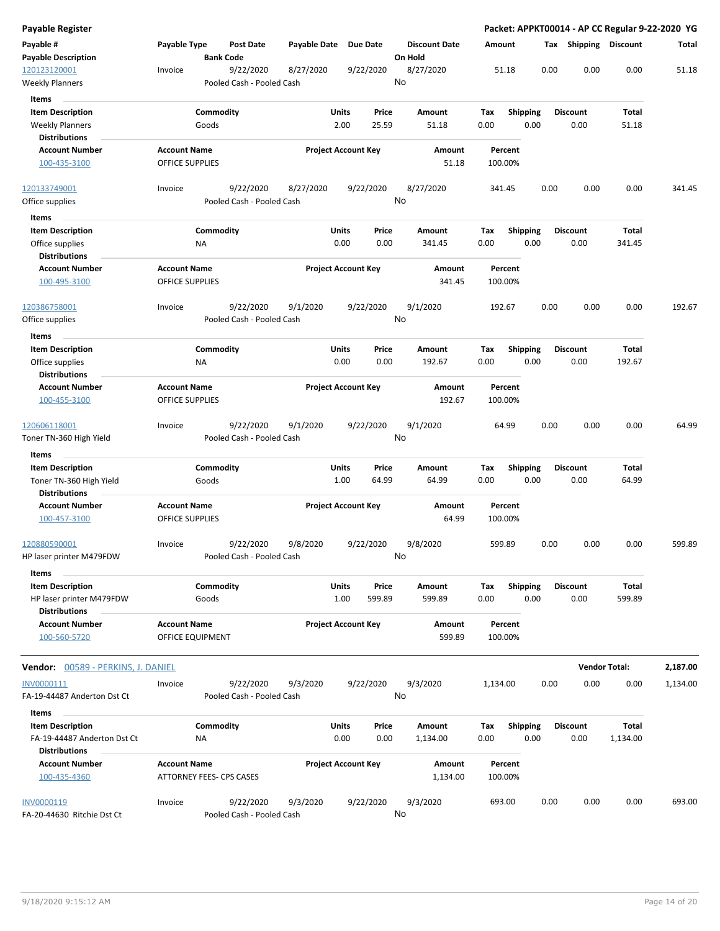| <b>Payable Register</b>                                       |                                         |                                        |                       |                                |                                 |                    |                         |                         | Packet: APPKT00014 - AP CC Regular 9-22-2020 YG |          |
|---------------------------------------------------------------|-----------------------------------------|----------------------------------------|-----------------------|--------------------------------|---------------------------------|--------------------|-------------------------|-------------------------|-------------------------------------------------|----------|
| Payable #<br><b>Payable Description</b>                       | Payable Type                            | Post Date<br><b>Bank Code</b>          | Payable Date Due Date |                                | <b>Discount Date</b><br>On Hold | Amount             |                         | Tax Shipping Discount   |                                                 | Total    |
| 120123120001<br><b>Weekly Planners</b>                        | Invoice                                 | 9/22/2020<br>Pooled Cash - Pooled Cash | 8/27/2020             | 9/22/2020                      | 8/27/2020<br>No                 | 51.18              | 0.00                    | 0.00                    | 0.00                                            | 51.18    |
| Items                                                         |                                         |                                        |                       |                                |                                 |                    |                         |                         |                                                 |          |
| <b>Item Description</b>                                       |                                         | Commodity                              |                       | Units<br>Price                 | Amount                          | Tax                | <b>Shipping</b>         | <b>Discount</b>         | Total                                           |          |
| <b>Weekly Planners</b>                                        |                                         | Goods                                  |                       | 2.00<br>25.59                  | 51.18                           | 0.00               | 0.00                    | 0.00                    | 51.18                                           |          |
| <b>Distributions</b>                                          |                                         |                                        |                       |                                |                                 |                    |                         |                         |                                                 |          |
| <b>Account Number</b>                                         | <b>Account Name</b>                     |                                        |                       | <b>Project Account Key</b>     | Amount                          | Percent            |                         |                         |                                                 |          |
| 100-435-3100                                                  | OFFICE SUPPLIES                         |                                        |                       |                                | 51.18                           | 100.00%            |                         |                         |                                                 |          |
| 120133749001                                                  | Invoice                                 | 9/22/2020                              | 8/27/2020             | 9/22/2020                      | 8/27/2020                       | 341.45             | 0.00                    | 0.00                    | 0.00                                            | 341.45   |
| Office supplies                                               |                                         | Pooled Cash - Pooled Cash              |                       |                                | No                              |                    |                         |                         |                                                 |          |
| Items                                                         |                                         |                                        |                       |                                |                                 |                    |                         |                         |                                                 |          |
| <b>Item Description</b>                                       |                                         | Commodity                              |                       | Units<br>Price                 | Amount                          | Tax                | <b>Shipping</b>         | <b>Discount</b>         | Total                                           |          |
| Office supplies                                               | ΝA                                      |                                        |                       | 0.00<br>0.00                   | 341.45                          | 0.00               | 0.00                    | 0.00                    | 341.45                                          |          |
| <b>Distributions</b>                                          |                                         |                                        |                       |                                |                                 |                    |                         |                         |                                                 |          |
| <b>Account Number</b><br>100-495-3100                         | <b>Account Name</b><br>OFFICE SUPPLIES  |                                        |                       | <b>Project Account Key</b>     | Amount<br>341.45                | Percent<br>100.00% |                         |                         |                                                 |          |
| 120386758001                                                  | Invoice                                 | 9/22/2020                              | 9/1/2020              | 9/22/2020                      | 9/1/2020                        | 192.67             | 0.00                    | 0.00                    | 0.00                                            | 192.67   |
| Office supplies                                               |                                         | Pooled Cash - Pooled Cash              |                       |                                | No                              |                    |                         |                         |                                                 |          |
| Items                                                         |                                         |                                        |                       |                                |                                 |                    |                         |                         |                                                 |          |
| <b>Item Description</b>                                       |                                         | Commodity                              |                       | Units<br>Price                 | Amount                          | Tax                | <b>Shipping</b>         | <b>Discount</b>         | Total                                           |          |
| Office supplies                                               | NA                                      |                                        |                       | 0.00<br>0.00                   | 192.67                          | 0.00               | 0.00                    | 0.00                    | 192.67                                          |          |
| <b>Distributions</b>                                          |                                         |                                        |                       |                                |                                 |                    |                         |                         |                                                 |          |
| <b>Account Number</b><br>100-455-3100                         | <b>Account Name</b><br>OFFICE SUPPLIES  |                                        |                       | <b>Project Account Key</b>     | Amount<br>192.67                | Percent<br>100.00% |                         |                         |                                                 |          |
|                                                               |                                         |                                        |                       |                                |                                 |                    |                         |                         |                                                 |          |
| 120606118001<br>Toner TN-360 High Yield                       | Invoice                                 | 9/22/2020<br>Pooled Cash - Pooled Cash | 9/1/2020              | 9/22/2020                      | 9/1/2020<br>No                  | 64.99              | 0.00                    | 0.00                    | 0.00                                            | 64.99    |
| <b>Items</b>                                                  |                                         |                                        |                       |                                |                                 |                    |                         |                         |                                                 |          |
| <b>Item Description</b>                                       |                                         | Commodity                              |                       | Units<br>Price                 | Amount                          | Tax                | <b>Shipping</b>         | <b>Discount</b>         | Total                                           |          |
| Toner TN-360 High Yield                                       |                                         | Goods                                  |                       | 1.00<br>64.99                  | 64.99                           | 0.00               | 0.00                    | 0.00                    | 64.99                                           |          |
| <b>Distributions</b>                                          |                                         |                                        |                       |                                |                                 |                    |                         |                         |                                                 |          |
| <b>Account Number</b>                                         | <b>Account Name</b>                     |                                        |                       | <b>Project Account Key</b>     | Amount                          | Percent            |                         |                         |                                                 |          |
| 100-457-3100                                                  | OFFICE SUPPLIES                         |                                        |                       |                                | 64.99                           | 100.00%            |                         |                         |                                                 |          |
| 120880590001                                                  | Invoice                                 | 9/22/2020                              | 9/8/2020              | 9/22/2020                      | 9/8/2020                        | 599.89             | 0.00                    | 0.00                    | 0.00                                            | 599.89   |
| HP laser printer M479FDW                                      |                                         | Pooled Cash - Pooled Cash              |                       |                                | No                              |                    |                         |                         |                                                 |          |
| Items                                                         |                                         |                                        |                       |                                |                                 |                    |                         |                         |                                                 |          |
| <b>Item Description</b>                                       |                                         | Commodity                              |                       | Units<br>Price                 | Amount                          | Tax                | <b>Shipping</b>         | <b>Discount</b>         | Total                                           |          |
| HP laser printer M479FDW                                      |                                         | Goods                                  |                       | 1.00<br>599.89                 | 599.89                          | 0.00               | 0.00                    | 0.00                    | 599.89                                          |          |
| <b>Distributions</b><br><b>Account Number</b><br>100-560-5720 | <b>Account Name</b><br>OFFICE EQUIPMENT |                                        |                       | <b>Project Account Key</b>     | Amount<br>599.89                | Percent<br>100.00% |                         |                         |                                                 |          |
| <b>Vendor:</b> 00589 - PERKINS, J. DANIEL                     |                                         |                                        |                       |                                |                                 |                    |                         |                         | <b>Vendor Total:</b>                            | 2,187.00 |
| INV0000111                                                    | Invoice                                 | 9/22/2020                              | 9/3/2020              | 9/22/2020                      | 9/3/2020                        | 1,134.00           | 0.00                    | 0.00                    | 0.00                                            | 1,134.00 |
| FA-19-44487 Anderton Dst Ct                                   |                                         | Pooled Cash - Pooled Cash              |                       |                                | No                              |                    |                         |                         |                                                 |          |
|                                                               |                                         |                                        |                       |                                |                                 |                    |                         |                         |                                                 |          |
| Items                                                         |                                         |                                        |                       |                                |                                 |                    |                         |                         |                                                 |          |
| <b>Item Description</b><br>FA-19-44487 Anderton Dst Ct        | ΝA                                      | Commodity                              |                       | Units<br>Price<br>0.00<br>0.00 | Amount<br>1,134.00              | Tax<br>0.00        | <b>Shipping</b><br>0.00 | <b>Discount</b><br>0.00 | Total<br>1,134.00                               |          |
| <b>Distributions</b>                                          |                                         |                                        |                       |                                |                                 |                    |                         |                         |                                                 |          |
| <b>Account Number</b>                                         | <b>Account Name</b>                     |                                        |                       | <b>Project Account Key</b>     | Amount                          | Percent            |                         |                         |                                                 |          |
| 100-435-4360                                                  |                                         | ATTORNEY FEES- CPS CASES               |                       |                                | 1,134.00                        | 100.00%            |                         |                         |                                                 |          |
| INV0000119                                                    | Invoice                                 | 9/22/2020                              | 9/3/2020              | 9/22/2020                      | 9/3/2020                        | 693.00             | 0.00                    | 0.00                    | 0.00                                            | 693.00   |
| FA-20-44630 Ritchie Dst Ct                                    |                                         | Pooled Cash - Pooled Cash              |                       |                                | No                              |                    |                         |                         |                                                 |          |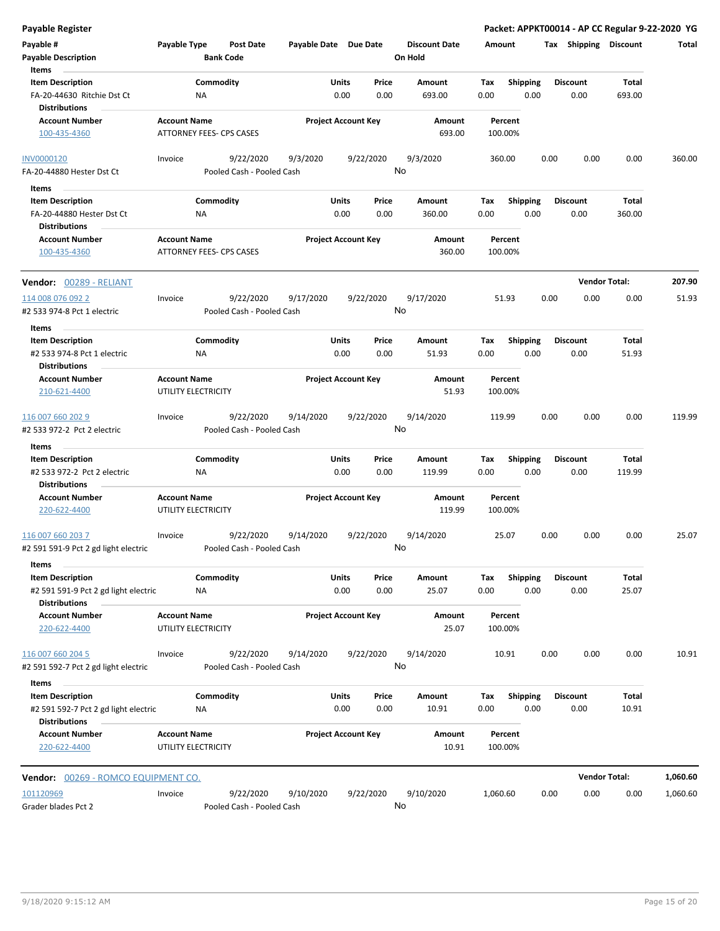| <b>Payable Register</b>                            |                     |                          |                           |                       |              |                            |                                 |          |                    |      |                       | Packet: APPKT00014 - AP CC Regular 9-22-2020 YG |          |
|----------------------------------------------------|---------------------|--------------------------|---------------------------|-----------------------|--------------|----------------------------|---------------------------------|----------|--------------------|------|-----------------------|-------------------------------------------------|----------|
| Payable #<br><b>Payable Description</b>            | Payable Type        | <b>Bank Code</b>         | <b>Post Date</b>          | Payable Date Due Date |              |                            | <b>Discount Date</b><br>On Hold | Amount   |                    |      | Tax Shipping Discount |                                                 | Total    |
| Items                                              |                     |                          |                           |                       |              |                            |                                 |          |                    |      |                       |                                                 |          |
| <b>Item Description</b>                            |                     | Commodity                |                           |                       | Units        | Price                      | Amount                          | Tax      | Shipping           |      | <b>Discount</b>       | Total                                           |          |
| FA-20-44630 Ritchie Dst Ct<br><b>Distributions</b> |                     | NA                       |                           |                       | 0.00         | 0.00                       | 693.00                          | 0.00     | 0.00               |      | 0.00                  | 693.00                                          |          |
| <b>Account Number</b>                              | <b>Account Name</b> |                          |                           |                       |              | <b>Project Account Key</b> | Amount                          |          | Percent            |      |                       |                                                 |          |
| 100-435-4360                                       |                     | ATTORNEY FEES- CPS CASES |                           |                       |              |                            | 693.00                          |          | 100.00%            |      |                       |                                                 |          |
| <b>INV0000120</b>                                  | Invoice             |                          | 9/22/2020                 | 9/3/2020              |              | 9/22/2020                  | 9/3/2020                        |          | 360.00             | 0.00 | 0.00                  | 0.00                                            | 360.00   |
| FA-20-44880 Hester Dst Ct                          |                     |                          | Pooled Cash - Pooled Cash |                       |              |                            | No                              |          |                    |      |                       |                                                 |          |
| Items                                              |                     |                          |                           |                       |              |                            |                                 |          |                    |      |                       |                                                 |          |
| <b>Item Description</b>                            |                     | Commodity                |                           |                       | <b>Units</b> | Price                      | Amount                          | Tax      | <b>Shipping</b>    |      | <b>Discount</b>       | Total                                           |          |
| FA-20-44880 Hester Dst Ct                          |                     | ΝA                       |                           |                       | 0.00         | 0.00                       | 360.00                          | 0.00     | 0.00               |      | 0.00                  | 360.00                                          |          |
| <b>Distributions</b>                               |                     |                          |                           |                       |              |                            |                                 |          |                    |      |                       |                                                 |          |
| <b>Account Number</b><br>100-435-4360              | <b>Account Name</b> | ATTORNEY FEES- CPS CASES |                           |                       |              | <b>Project Account Key</b> | Amount<br>360.00                |          | Percent<br>100.00% |      |                       |                                                 |          |
| Vendor: 00289 - RELIANT                            |                     |                          |                           |                       |              |                            |                                 |          |                    |      |                       | <b>Vendor Total:</b>                            | 207.90   |
| 114 008 076 092 2                                  | Invoice             |                          | 9/22/2020                 | 9/17/2020             |              | 9/22/2020                  | 9/17/2020                       |          | 51.93              | 0.00 | 0.00                  | 0.00                                            | 51.93    |
| #2 533 974-8 Pct 1 electric                        |                     |                          | Pooled Cash - Pooled Cash |                       |              | No                         |                                 |          |                    |      |                       |                                                 |          |
| Items                                              |                     |                          |                           |                       |              |                            |                                 |          |                    |      |                       |                                                 |          |
| <b>Item Description</b>                            |                     | Commodity                |                           |                       | <b>Units</b> | Price                      | Amount                          | Tax      | <b>Shipping</b>    |      | <b>Discount</b>       | Total                                           |          |
| #2 533 974-8 Pct 1 electric                        |                     | NA                       |                           |                       | 0.00         | 0.00                       | 51.93                           | 0.00     | 0.00               |      | 0.00                  | 51.93                                           |          |
| <b>Distributions</b>                               |                     |                          |                           |                       |              |                            |                                 |          |                    |      |                       |                                                 |          |
| <b>Account Number</b>                              | <b>Account Name</b> |                          |                           |                       |              | <b>Project Account Key</b> | Amount                          |          | Percent            |      |                       |                                                 |          |
| 210-621-4400                                       | UTILITY ELECTRICITY |                          |                           |                       |              |                            | 51.93                           |          | 100.00%            |      |                       |                                                 |          |
| 116 007 660 202 9                                  | Invoice             |                          | 9/22/2020                 | 9/14/2020             |              | 9/22/2020                  | 9/14/2020                       |          | 119.99             | 0.00 | 0.00                  | 0.00                                            | 119.99   |
| #2 533 972-2 Pct 2 electric                        |                     |                          | Pooled Cash - Pooled Cash |                       |              |                            | No                              |          |                    |      |                       |                                                 |          |
| Items                                              |                     |                          |                           |                       |              |                            |                                 |          |                    |      |                       |                                                 |          |
| <b>Item Description</b>                            |                     | Commodity                |                           |                       | Units        | Price                      | Amount                          | Tax      | <b>Shipping</b>    |      | <b>Discount</b>       | Total                                           |          |
| #2 533 972-2 Pct 2 electric                        |                     | ΝA                       |                           |                       | 0.00         | 0.00                       | 119.99                          | 0.00     | 0.00               |      | 0.00                  | 119.99                                          |          |
| <b>Distributions</b>                               |                     |                          |                           |                       |              |                            |                                 |          |                    |      |                       |                                                 |          |
| <b>Account Number</b>                              | <b>Account Name</b> |                          |                           |                       |              | <b>Project Account Key</b> | Amount                          |          | Percent            |      |                       |                                                 |          |
| 220-622-4400                                       | UTILITY ELECTRICITY |                          |                           |                       |              |                            | 119.99                          |          | 100.00%            |      |                       |                                                 |          |
| 116 007 660 203 7                                  | Invoice             |                          | 9/22/2020                 | 9/14/2020             |              | 9/22/2020                  | 9/14/2020                       |          | 25.07              | 0.00 | 0.00                  | 0.00                                            | 25.07    |
| #2 591 591-9 Pct 2 gd light electric               |                     |                          | Pooled Cash - Pooled Cash |                       |              |                            | No                              |          |                    |      |                       |                                                 |          |
| Items                                              |                     |                          |                           |                       |              |                            |                                 |          |                    |      |                       |                                                 |          |
| <b>Item Description</b>                            |                     | Commodity                |                           |                       | <b>Units</b> | Price                      | Amount                          | Tax      | <b>Shipping</b>    |      | <b>Discount</b>       | Total                                           |          |
| #2 591 591-9 Pct 2 gd light electric               |                     | ΝA                       |                           |                       | 0.00         | 0.00                       | 25.07                           | 0.00     | 0.00               |      | 0.00                  | 25.07                                           |          |
| <b>Distributions</b>                               |                     |                          |                           |                       |              |                            |                                 |          |                    |      |                       |                                                 |          |
| <b>Account Number</b>                              | <b>Account Name</b> |                          |                           |                       |              | <b>Project Account Key</b> | Amount                          |          | Percent            |      |                       |                                                 |          |
| 220-622-4400                                       | UTILITY ELECTRICITY |                          |                           |                       |              |                            | 25.07                           |          | 100.00%            |      |                       |                                                 |          |
| 116 007 660 204 5                                  | Invoice             |                          | 9/22/2020                 | 9/14/2020             |              | 9/22/2020                  | 9/14/2020                       |          | 10.91              | 0.00 | 0.00                  | 0.00                                            | 10.91    |
| #2 591 592-7 Pct 2 gd light electric               |                     |                          | Pooled Cash - Pooled Cash |                       |              |                            | No                              |          |                    |      |                       |                                                 |          |
| Items                                              |                     |                          |                           |                       |              |                            |                                 |          |                    |      |                       |                                                 |          |
| <b>Item Description</b>                            |                     | Commodity                |                           |                       | Units        | Price                      | Amount                          | Tax      | <b>Shipping</b>    |      | <b>Discount</b>       | Total                                           |          |
| #2 591 592-7 Pct 2 gd light electric               |                     | NA                       |                           |                       | 0.00         | 0.00                       | 10.91                           | 0.00     | 0.00               |      | 0.00                  | 10.91                                           |          |
| <b>Distributions</b>                               |                     |                          |                           |                       |              |                            |                                 |          |                    |      |                       |                                                 |          |
| <b>Account Number</b>                              | <b>Account Name</b> |                          |                           |                       |              | <b>Project Account Key</b> | Amount                          |          | Percent            |      |                       |                                                 |          |
| 220-622-4400                                       | UTILITY ELECTRICITY |                          |                           |                       |              |                            | 10.91                           |          | 100.00%            |      |                       |                                                 |          |
| Vendor: 00269 - ROMCO EQUIPMENT CO.                |                     |                          |                           |                       |              |                            |                                 |          |                    |      |                       | <b>Vendor Total:</b>                            | 1,060.60 |
| 101120969                                          | Invoice             |                          | 9/22/2020                 | 9/10/2020             |              | 9/22/2020                  | 9/10/2020                       | 1,060.60 |                    | 0.00 | 0.00                  | 0.00                                            | 1,060.60 |
| Grader blades Pct 2                                |                     |                          | Pooled Cash - Pooled Cash |                       |              |                            | No                              |          |                    |      |                       |                                                 |          |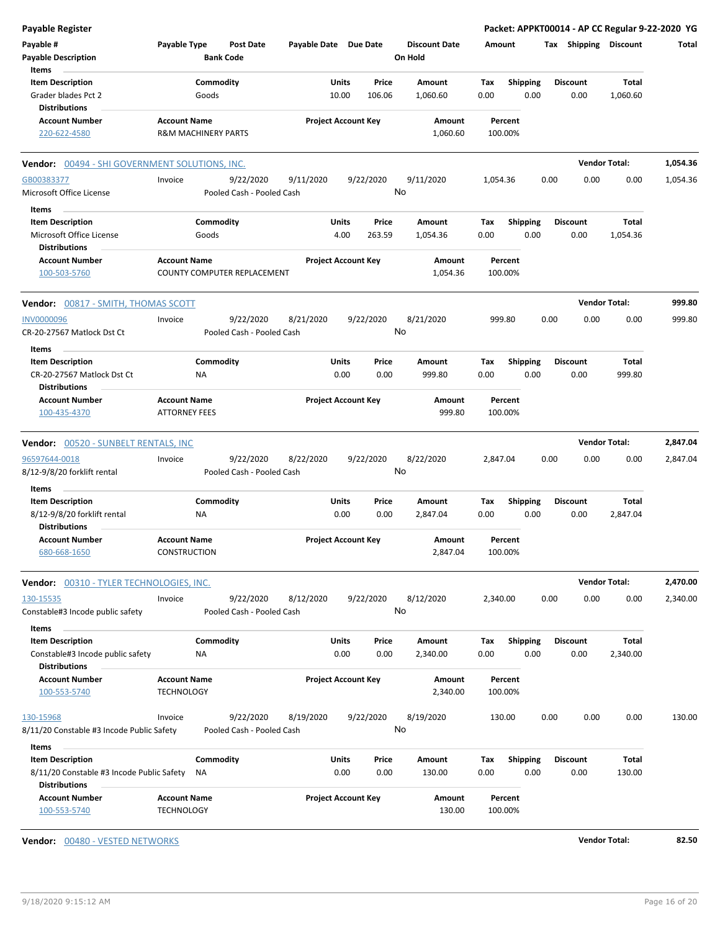| <b>Payable Register</b>                                                                      |                                                       |                        |                                        |                       |                |                            |               |                                 |             |                         |      |                         | Packet: APPKT00014 - AP CC Regular 9-22-2020 YG |          |
|----------------------------------------------------------------------------------------------|-------------------------------------------------------|------------------------|----------------------------------------|-----------------------|----------------|----------------------------|---------------|---------------------------------|-------------|-------------------------|------|-------------------------|-------------------------------------------------|----------|
| Payable #<br><b>Payable Description</b>                                                      | Payable Type                                          | <b>Bank Code</b>       | <b>Post Date</b>                       | Payable Date Due Date |                |                            |               | <b>Discount Date</b><br>On Hold | Amount      |                         |      | Tax Shipping Discount   |                                                 | Total    |
| Items<br><b>Item Description</b><br>Grader blades Pct 2<br><b>Distributions</b>              |                                                       | Commodity<br>Goods     |                                        |                       | Units<br>10.00 | 106.06                     | Price         | Amount<br>1,060.60              | Tax<br>0.00 | <b>Shipping</b><br>0.00 |      | <b>Discount</b><br>0.00 | Total<br>1,060.60                               |          |
| <b>Account Number</b><br>220-622-4580                                                        | <b>Account Name</b><br><b>R&amp;M MACHINERY PARTS</b> |                        |                                        |                       |                | <b>Project Account Key</b> |               | Amount<br>1,060.60              |             | Percent<br>100.00%      |      |                         |                                                 |          |
| <b>Vendor:</b> 00494 - SHI GOVERNMENT SOLUTIONS, INC.                                        |                                                       |                        |                                        |                       |                |                            |               |                                 |             |                         |      |                         | <b>Vendor Total:</b>                            | 1,054.36 |
| GB00383377<br>Microsoft Office License                                                       | Invoice                                               |                        | 9/22/2020<br>Pooled Cash - Pooled Cash | 9/11/2020             |                | 9/22/2020                  |               | 9/11/2020<br>No                 | 1,054.36    |                         | 0.00 | 0.00                    | 0.00                                            | 1,054.36 |
| Items<br><b>Item Description</b>                                                             |                                                       | Commodity              |                                        |                       | Units          |                            | Price         | Amount                          | Тах         | <b>Shipping</b>         |      | <b>Discount</b>         | Total                                           |          |
| Microsoft Office License<br><b>Distributions</b>                                             |                                                       | Goods                  |                                        |                       | 4.00           | 263.59                     |               | 1,054.36                        | 0.00        | 0.00                    |      | 0.00                    | 1,054.36                                        |          |
| <b>Account Number</b><br>100-503-5760                                                        | <b>Account Name</b>                                   |                        | COUNTY COMPUTER REPLACEMENT            |                       |                | <b>Project Account Key</b> |               | Amount<br>1,054.36              |             | Percent<br>100.00%      |      |                         |                                                 |          |
| <b>Vendor: 00817 - SMITH, THOMAS SCOTT</b>                                                   |                                                       |                        |                                        |                       |                |                            |               |                                 |             |                         |      |                         | <b>Vendor Total:</b>                            | 999.80   |
| <b>INV0000096</b><br>CR-20-27567 Matlock Dst Ct                                              | Invoice                                               |                        | 9/22/2020<br>Pooled Cash - Pooled Cash | 8/21/2020             |                | 9/22/2020                  |               | 8/21/2020<br>No                 |             | 999.80                  | 0.00 | 0.00                    | 0.00                                            | 999.80   |
| Items<br><b>Item Description</b><br>CR-20-27567 Matlock Dst Ct<br><b>Distributions</b>       |                                                       | Commodity<br><b>NA</b> |                                        |                       | Units<br>0.00  |                            | Price<br>0.00 | Amount<br>999.80                | Tax<br>0.00 | <b>Shipping</b><br>0.00 |      | <b>Discount</b><br>0.00 | Total<br>999.80                                 |          |
| <b>Account Number</b><br>100-435-4370                                                        | <b>Account Name</b><br><b>ATTORNEY FEES</b>           |                        |                                        |                       |                | <b>Project Account Key</b> |               | Amount<br>999.80                |             | Percent<br>100.00%      |      |                         |                                                 |          |
| Vendor: 00520 - SUNBELT RENTALS, INC                                                         |                                                       |                        |                                        |                       |                |                            |               |                                 |             |                         |      |                         | <b>Vendor Total:</b>                            | 2,847.04 |
| 96597644-0018<br>8/12-9/8/20 forklift rental                                                 | Invoice                                               |                        | 9/22/2020<br>Pooled Cash - Pooled Cash | 8/22/2020             |                | 9/22/2020                  |               | 8/22/2020<br>No                 | 2,847.04    |                         | 0.00 | 0.00                    | 0.00                                            | 2,847.04 |
| Items                                                                                        |                                                       |                        |                                        |                       |                |                            |               |                                 |             |                         |      |                         |                                                 |          |
| <b>Item Description</b><br>8/12-9/8/20 forklift rental<br><b>Distributions</b>               |                                                       | Commodity<br>ΝA        |                                        |                       | Units<br>0.00  |                            | Price<br>0.00 | Amount<br>2,847.04              | Tax<br>0.00 | Shipping<br>0.00        |      | <b>Discount</b><br>0.00 | Total<br>2,847.04                               |          |
| <b>Account Number</b><br>680-668-1650                                                        | <b>Account Name</b><br>CONSTRUCTION                   |                        |                                        |                       |                | <b>Project Account Key</b> |               | Amount<br>2,847.04              |             | Percent<br>100.00%      |      |                         |                                                 |          |
| Vendor: 00310 - TYLER TECHNOLOGIES, INC.                                                     |                                                       |                        |                                        |                       |                |                            |               |                                 |             |                         |      |                         | <b>Vendor Total:</b>                            | 2,470.00 |
| 130-15535<br>Constable#3 Incode public safety                                                | Invoice                                               |                        | 9/22/2020<br>Pooled Cash - Pooled Cash | 8/12/2020             |                | 9/22/2020                  |               | 8/12/2020<br>No                 | 2,340.00    |                         | 0.00 | 0.00                    | 0.00                                            | 2,340.00 |
| Items<br><b>Item Description</b><br>Constable#3 Incode public safety                         |                                                       | Commodity<br>ΝA        |                                        |                       | Units<br>0.00  |                            | Price<br>0.00 | Amount<br>2,340.00              | Tax<br>0.00 | <b>Shipping</b><br>0.00 |      | <b>Discount</b><br>0.00 | <b>Total</b><br>2,340.00                        |          |
| <b>Distributions</b><br><b>Account Number</b><br>100-553-5740                                | <b>Account Name</b><br><b>TECHNOLOGY</b>              |                        |                                        |                       |                | <b>Project Account Key</b> |               | Amount<br>2,340.00              |             | Percent<br>100.00%      |      |                         |                                                 |          |
| 130-15968<br>8/11/20 Constable #3 Incode Public Safety                                       | Invoice                                               |                        | 9/22/2020<br>Pooled Cash - Pooled Cash | 8/19/2020             |                | 9/22/2020                  |               | 8/19/2020<br>No                 |             | 130.00                  | 0.00 | 0.00                    | 0.00                                            | 130.00   |
| Items                                                                                        |                                                       |                        |                                        |                       |                |                            |               |                                 |             |                         |      |                         |                                                 |          |
| <b>Item Description</b><br>8/11/20 Constable #3 Incode Public Safety<br><b>Distributions</b> |                                                       | Commodity<br>ΝA        |                                        |                       | Units<br>0.00  |                            | Price<br>0.00 | Amount<br>130.00                | Tax<br>0.00 | <b>Shipping</b><br>0.00 |      | <b>Discount</b><br>0.00 | <b>Total</b><br>130.00                          |          |
| <b>Account Number</b><br>100-553-5740                                                        | <b>Account Name</b><br><b>TECHNOLOGY</b>              |                        |                                        |                       |                | <b>Project Account Key</b> |               | Amount<br>130.00                |             | Percent<br>100.00%      |      |                         |                                                 |          |

**Vendor:** 00480 - VESTED NETWORKS **Vendor Total: 82.50**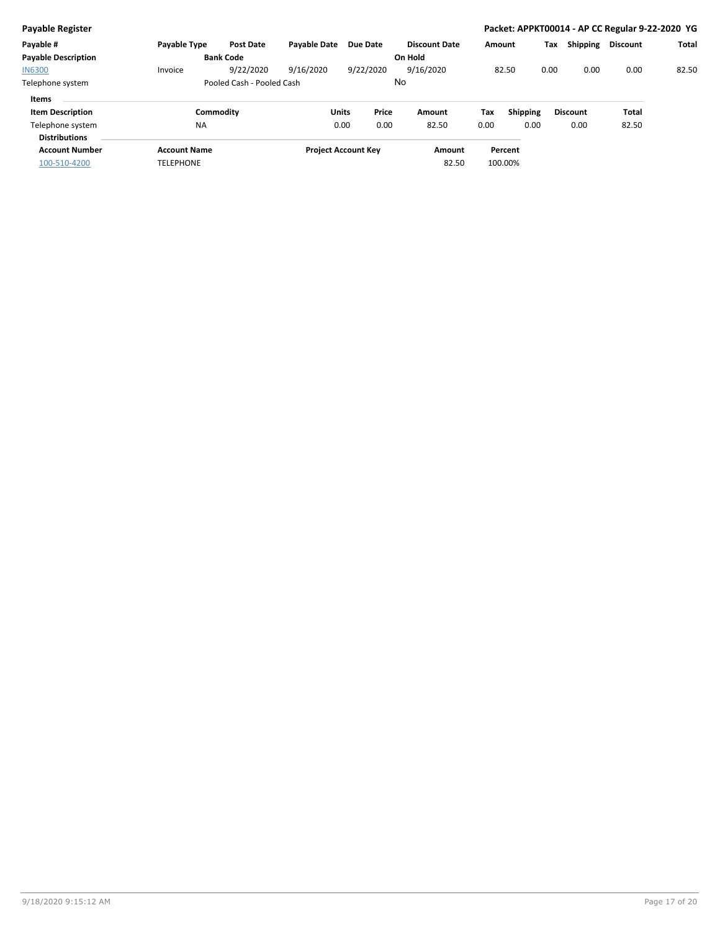| <b>Payable Register</b>                  |                     |                           |                            |                 |           |                      |        |                 |      |                 | Packet: APPKT00014 - AP CC Regular 9-22-2020 YG |              |
|------------------------------------------|---------------------|---------------------------|----------------------------|-----------------|-----------|----------------------|--------|-----------------|------|-----------------|-------------------------------------------------|--------------|
| Payable #                                | <b>Pavable Type</b> | <b>Post Date</b>          | <b>Pavable Date</b>        | <b>Due Date</b> |           | <b>Discount Date</b> | Amount |                 | Tax  | <b>Shipping</b> | <b>Discount</b>                                 | <b>Total</b> |
| <b>Payable Description</b>               |                     | <b>Bank Code</b>          |                            |                 |           | On Hold              |        |                 |      |                 |                                                 |              |
| <b>IN6300</b>                            | Invoice             | 9/22/2020                 | 9/16/2020                  |                 | 9/22/2020 | 9/16/2020            |        | 82.50           | 0.00 | 0.00            | 0.00                                            | 82.50        |
| Telephone system                         |                     | Pooled Cash - Pooled Cash |                            |                 |           | No                   |        |                 |      |                 |                                                 |              |
| Items                                    |                     |                           |                            |                 |           |                      |        |                 |      |                 |                                                 |              |
| <b>Item Description</b>                  | Commodity           |                           |                            | Units           | Price     | Amount               | Tax    | <b>Shipping</b> |      | <b>Discount</b> | Total                                           |              |
| Telephone system<br><b>Distributions</b> | <b>NA</b>           |                           |                            | 0.00            | 0.00      | 82.50                | 0.00   | 0.00            |      | 0.00            | 82.50                                           |              |
| <b>Account Number</b>                    | <b>Account Name</b> |                           | <b>Project Account Key</b> |                 |           | Amount               |        | Percent         |      |                 |                                                 |              |
| 100-510-4200                             | <b>TELEPHONE</b>    |                           |                            |                 |           | 82.50                |        | 100.00%         |      |                 |                                                 |              |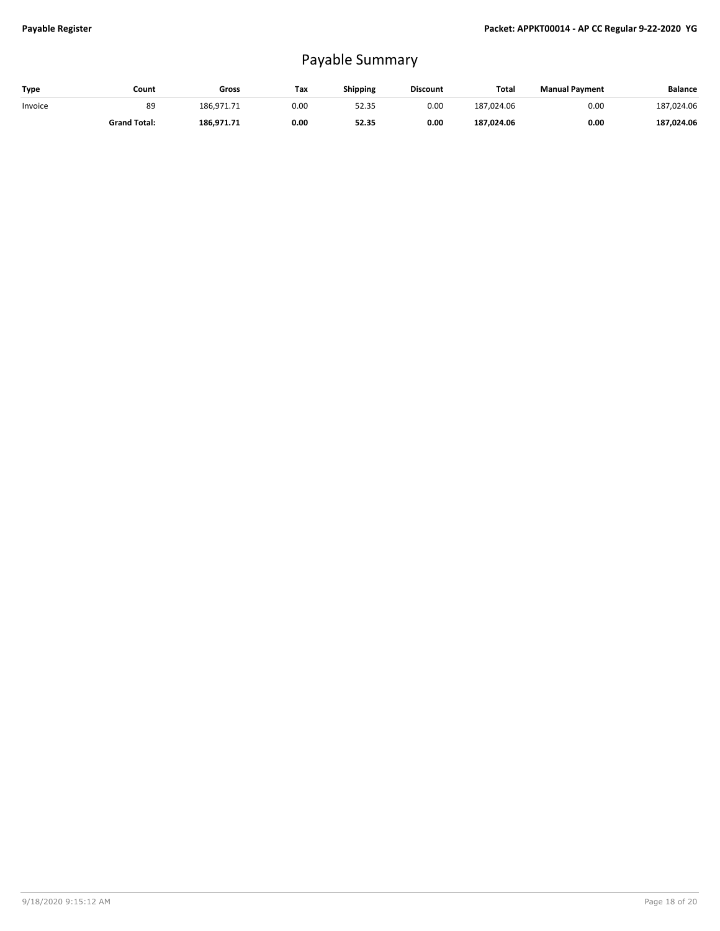## Payable Summary

| Type    | Count               | Gross      | Тах  | <b>Shipping</b> | <b>Discount</b> | Total      | <b>Manual Payment</b> | <b>Balance</b> |
|---------|---------------------|------------|------|-----------------|-----------------|------------|-----------------------|----------------|
| Invoice | 89                  | 186.971.71 | 0.00 | 52.35           | 0.00            | 187.024.06 | 0.00                  | 187,024.06     |
|         | <b>Grand Total:</b> | 186.971.71 | 0.00 | 52.35           | 0.00            | 187.024.06 | 0.00                  | 187,024.06     |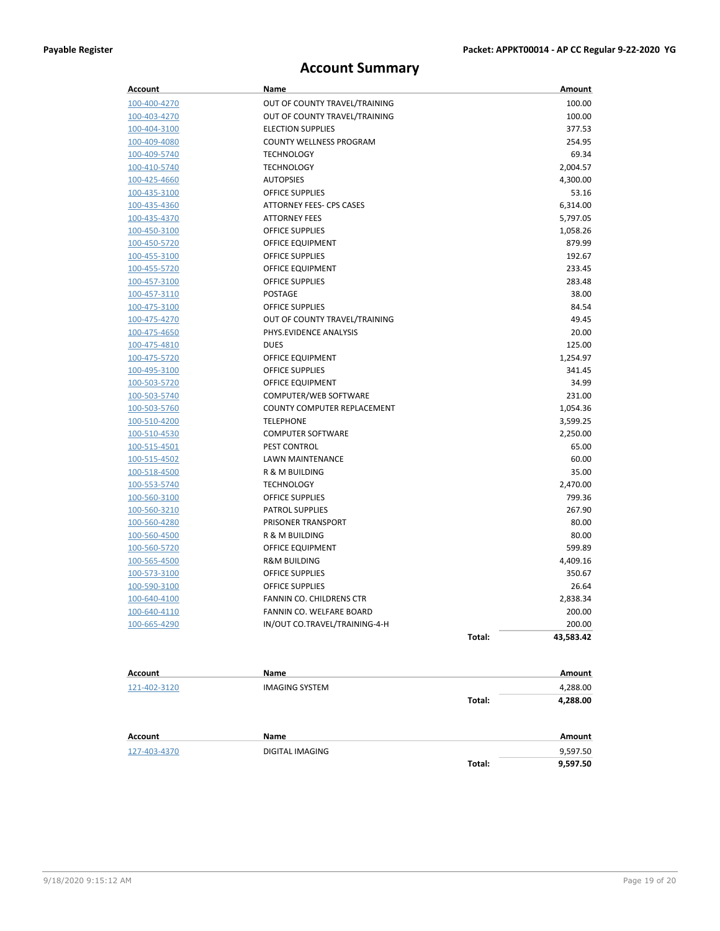## **Account Summary**

| <b>Account</b>      | Name                            |        | Amount        |
|---------------------|---------------------------------|--------|---------------|
| 100-400-4270        | OUT OF COUNTY TRAVEL/TRAINING   |        | 100.00        |
| 100-403-4270        | OUT OF COUNTY TRAVEL/TRAINING   |        | 100.00        |
| 100-404-3100        | <b>ELECTION SUPPLIES</b>        |        | 377.53        |
| 100-409-4080        | COUNTY WELLNESS PROGRAM         |        | 254.95        |
| 100-409-5740        | <b>TECHNOLOGY</b>               |        | 69.34         |
| 100-410-5740        | <b>TECHNOLOGY</b>               |        | 2,004.57      |
| 100-425-4660        | <b>AUTOPSIES</b>                |        | 4,300.00      |
| 100-435-3100        | <b>OFFICE SUPPLIES</b>          |        | 53.16         |
| 100-435-4360        | <b>ATTORNEY FEES- CPS CASES</b> |        | 6,314.00      |
| 100-435-4370        | <b>ATTORNEY FEES</b>            |        | 5,797.05      |
| 100-450-3100        | <b>OFFICE SUPPLIES</b>          |        | 1,058.26      |
| 100-450-5720        | OFFICE EQUIPMENT                |        | 879.99        |
| 100-455-3100        | <b>OFFICE SUPPLIES</b>          |        | 192.67        |
| 100-455-5720        | OFFICE EQUIPMENT                |        | 233.45        |
| 100-457-3100        | <b>OFFICE SUPPLIES</b>          |        | 283.48        |
| 100-457-3110        | POSTAGE                         |        | 38.00         |
| 100-475-3100        | OFFICE SUPPLIES                 |        | 84.54         |
| 100-475-4270        | OUT OF COUNTY TRAVEL/TRAINING   |        | 49.45         |
| 100-475-4650        | PHYS.EVIDENCE ANALYSIS          |        | 20.00         |
| 100-475-4810        | <b>DUES</b>                     |        | 125.00        |
| 100-475-5720        | OFFICE EQUIPMENT                |        | 1,254.97      |
| 100-495-3100        | <b>OFFICE SUPPLIES</b>          |        | 341.45        |
| 100-503-5720        | OFFICE EQUIPMENT                |        | 34.99         |
| 100-503-5740        | COMPUTER/WEB SOFTWARE           |        | 231.00        |
| 100-503-5760        | COUNTY COMPUTER REPLACEMENT     |        | 1,054.36      |
| 100-510-4200        | <b>TELEPHONE</b>                |        | 3,599.25      |
| 100-510-4530        | <b>COMPUTER SOFTWARE</b>        |        | 2,250.00      |
| 100-515-4501        | PEST CONTROL                    |        | 65.00         |
| 100-515-4502        | <b>LAWN MAINTENANCE</b>         |        | 60.00         |
| 100-518-4500        | R & M BUILDING                  |        | 35.00         |
| 100-553-5740        | <b>TECHNOLOGY</b>               |        | 2,470.00      |
| 100-560-3100        | <b>OFFICE SUPPLIES</b>          |        | 799.36        |
| 100-560-3210        | <b>PATROL SUPPLIES</b>          |        | 267.90        |
| 100-560-4280        | PRISONER TRANSPORT              |        | 80.00         |
| 100-560-4500        | R & M BUILDING                  |        | 80.00         |
| 100-560-5720        | OFFICE EQUIPMENT                |        | 599.89        |
| 100-565-4500        | <b>R&amp;M BUILDING</b>         |        | 4,409.16      |
| 100-573-3100        | <b>OFFICE SUPPLIES</b>          |        | 350.67        |
| 100-590-3100        | <b>OFFICE SUPPLIES</b>          |        | 26.64         |
| <u>100-640-4100</u> | FANNIN CO. CHILDRENS CTR        |        | 2,838.34      |
| 100-640-4110        | FANNIN CO. WELFARE BOARD        |        | 200.00        |
| 100-665-4290        | IN/OUT CO.TRAVEL/TRAINING-4-H   |        | 200.00        |
|                     |                                 | Total: | 43,583.42     |
|                     |                                 |        |               |
| Account             | Name                            |        | <b>Amount</b> |
| 121-402-3120        | <b>IMAGING SYSTEM</b>           |        | 4,288.00      |
|                     |                                 | Total: | 4,288.00      |
|                     |                                 |        |               |
| Account             | Name                            |        | <b>Amount</b> |
| 127-403-4370        | DIGITAL IMAGING                 |        | 9,597.50      |
|                     |                                 | Total: | 9,597.50      |